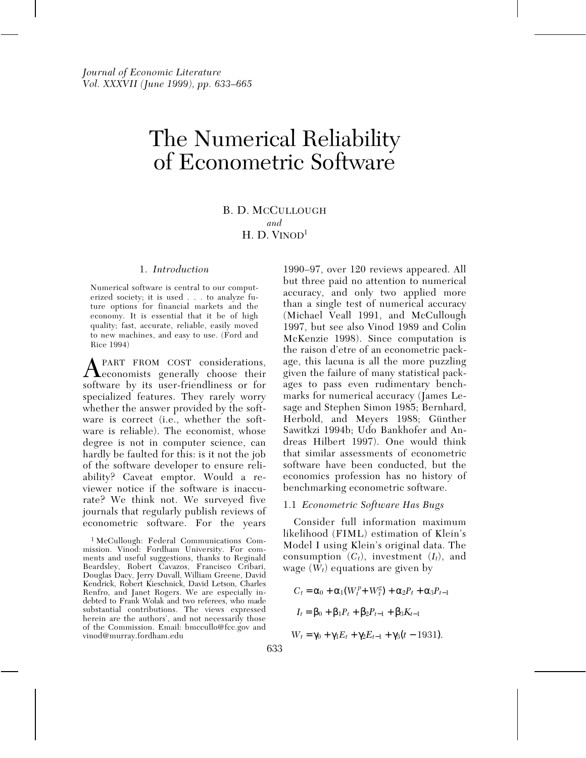# The Numerical Reliability of Econometric Software

# B. D. MCCULLOUGH *and*  $H. D. VINOD<sup>1</sup>$

#### 1. *Introduction*

Numerical software is central to our computerized society; it is used . . . to analyze future options for financial markets and the economy. It is essential that it be of high quality; fast, accurate, reliable, easily moved to new machines, and easy to use. (Ford and Rice 1994)

A PART FROM COST considerations,<br>economists generally choose their software by its user-friendliness or for specialized features. They rarely worry whether the answer provided by the software is correct (i.e., whether the software is reliable). The economist, whose degree is not in computer science, can hardly be faulted for this: is it not the job of the software developer to ensure reliability? Caveat emptor. Would a reviewer notice if the software is inaccurate? We think not. We surveyed five journals that regularly publish reviews of econometric software. For the years

1 McCullough: Federal Communications Commission. Vinod: Fordham University. For comments and useful suggestions, thanks to Reginald Beardsley, Robert Cavazos, Francisco Cribari, Douglas Dacy, Jerry Duvall, William Greene, David Kendrick, Robert Kieschnick, David Letson, Charles Renfro, and Janet Rogers. We are especially indebted to Frank Wolak and two referees, who made substantial contributions. The views expressed herein are the authors', and not necessarily those of the Commission. Email: bmccullo@fcc.gov and vinod@murray.fordham.edu

1990–97, over 120 reviews appeared. All but three paid no attention to numerical accuracy, and only two applied more than a single test of numerical accuracy (Michael Veall 1991, and McCullough 1997, but see also Vinod 1989 and Colin McKenzie 1998). Since computation is the raison d'etre of an econometric package, this lacuna is all the more puzzling given the failure of many statistical packages to pass even rudimentary benchmarks for numerical accuracy (James Lesage and Stephen Simon 1985; Bernhard, Herbold, and Meyers 1988; Günther Sawitkzi 1994b; Udo Bankhofer and Andreas Hilbert 1997). One would think that similar assessments of econometric software have been conducted, but the economics profession has no history of benchmarking econometric software.

#### 1.1 *Econometric Software Has Bugs*

Consider full information maximum likelihood (FIML) estimation of Klein's Model I using Klein's original data. The consumption  $(C_t)$ , investment  $(I_t)$ , and wage (*Wt*) equations are given by

$$
C_{t} = \alpha_{0} + \alpha_{1}(W_{t}^{p} + W_{t}^{q}) + \alpha_{2}P_{t} + \alpha_{3}P_{t-1}
$$

$$
I_{t} = \beta_{0} + \beta_{1}P_{t} + \beta_{2}P_{t-1} + \beta_{3}K_{t-1}
$$

$$
W_{t} = \gamma_{0} + \gamma_{1}E_{t} + \gamma_{2}E_{t-1} + \gamma_{3}(t - 1931).
$$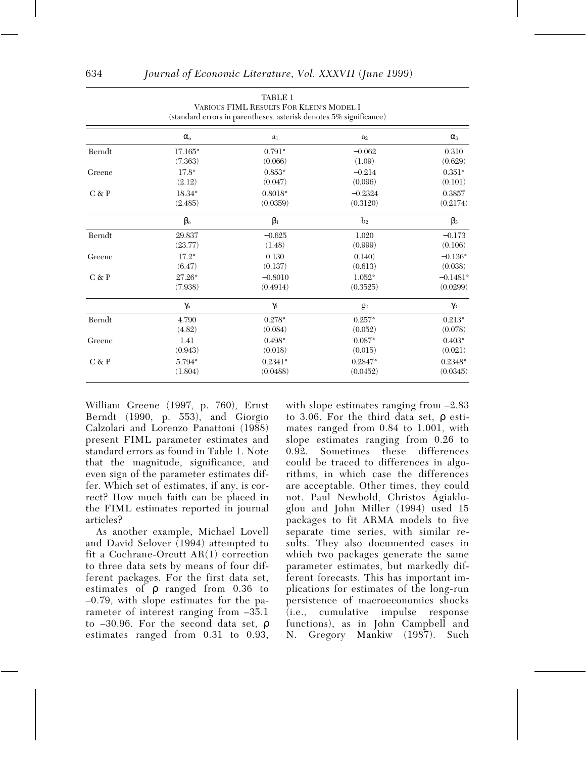|           |                          | (standard errors in parentheses, asterisk denotes 5% significance) |                                             |             |
|-----------|--------------------------|--------------------------------------------------------------------|---------------------------------------------|-------------|
|           | $\alpha_{\rm o}$         | a <sub>1</sub>                                                     | a <sub>2</sub>                              | $\alpha_3$  |
| Berndt    | 17.165°                  | $0.791$ °                                                          | $-0.062$                                    | 0.310       |
|           | (7.363)                  | (0.066)                                                            | (1.09)                                      | (0.629)     |
| Greene    | $17.8^{\circ}$<br>(2.12) | $0.853$ °<br>(0.047)                                               | $0.351$ *<br>$-0.214$<br>(0.096)<br>(0.101) |             |
| $C$ & $P$ | $18.34^{\circ}$          | $0.8018*$                                                          | $-0.2324$                                   | 0.3857      |
|           | (2.485)                  | (0.0359)                                                           | (0.3120)                                    | (0.2174)    |
|           | $\beta_{\rm o}$          | $\beta_1$                                                          | b <sub>2</sub>                              | $\beta_3$   |
| Berndt    | 29.837                   | $-0.625$                                                           | 1.020                                       | $-0.173$    |
|           | (23.77)                  | (1.48)                                                             | (0.999)                                     | (0.106)     |
| Greene    | $17.2^*$                 | 0.130                                                              | 0.140)                                      | $-0.136$ *  |
|           | (6.47)                   | (0.137)                                                            | (0.613)                                     | (0.038)     |
| $C$ & $P$ | $27.26^{\circ}$          | $-0.8010$                                                          | $1.052^{\circ}$                             | $-0.1481$ * |
|           | (7.938)                  | (0.4914)                                                           | (0.3525)                                    | (0.0299)    |
|           | $\gamma_{0}$             | $\gamma_1$                                                         | $g_2$                                       | $\gamma_3$  |
| Berndt    | 4.790                    | $0.278$ °                                                          | $0.257$ °                                   | $0.213$ °   |
|           | (4.82)                   | (0.084)                                                            | (0.052)                                     | (0.078)     |
| Greene    | 1.41                     | $0.498^{\circ}$                                                    | $0.087*$                                    | $0.403^*$   |
|           | (0.943)                  | (0.018)                                                            | (0.015)                                     | (0.021)     |
| $C$ & $P$ | 5.794°                   | $0.2341*$                                                          | $0.2847*$                                   | $0.2348$ *  |
|           | (1.804)                  | (0.0488)                                                           | (0.0452)                                    | (0.0345)    |

TABLE 1 VARIOUS FIML RESULTS FOR KLEIN'S MODEL I

William Greene (1997, p. 760), Ernst Berndt (1990, p. 553), and Giorgio Calzolari and Lorenzo Panattoni (1988) present FIML parameter estimates and standard errors as found in Table 1. Note that the magnitude, significance, and even sign of the parameter estimates differ. Which set of estimates, if any, is correct? How much faith can be placed in the FIML estimates reported in journal articles?

As another example, Michael Lovell and David Selover (1994) attempted to fit a Cochrane-Orcutt AR(1) correction to three data sets by means of four different packages. For the first data set, estimates of ρ ranged from 0.36 to –0.79, with slope estimates for the parameter of interest ranging from –35.1 to –30.96. For the second data set, ρ estimates ranged from 0.31 to 0.93,

with slope estimates ranging from –2.83 to 3.06. For the third data set, ρ estimates ranged from 0.84 to 1.001, with slope estimates ranging from 0.26 to 0.92. Sometimes these differences could be traced to differences in algorithms, in which case the differences are acceptable. Other times, they could not. Paul Newbold, Christos Agiakloglou and John Miller (1994) used 15 packages to fit ARMA models to five separate time series, with similar results. They also documented cases in which two packages generate the same parameter estimates, but markedly different forecasts. This has important implications for estimates of the long-run persistence of macroeconomics shocks (i.e., cumulative impulse response functions), as in John Campbell and N. Gregory Mankiw (1987). Such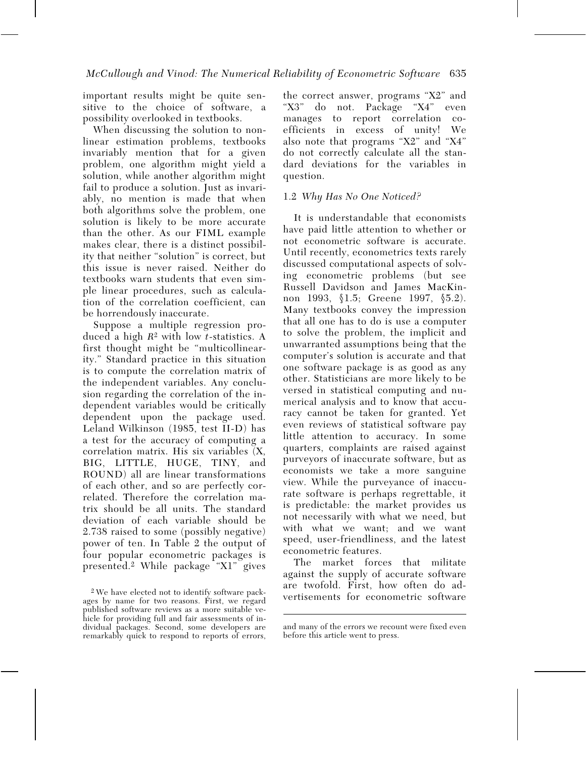important results might be quite sensitive to the choice of software, a possibility overlooked in textbooks.

When discussing the solution to nonlinear estimation problems, textbooks invariably mention that for a given problem, one algorithm might yield a solution, while another algorithm might fail to produce a solution. Just as invariably, no mention is made that when both algorithms solve the problem, one solution is likely to be more accurate than the other. As our FIML example makes clear, there is a distinct possibility that neither "solution" is correct, but this issue is never raised. Neither do textbooks warn students that even simple linear procedures, such as calculation of the correlation coefficient, can be horrendously inaccurate.

Suppose a multiple regression produced a high *R*2 with low *t*-statistics. A first thought might be "multicollinearity." Standard practice in this situation is to compute the correlation matrix of the independent variables. Any conclusion regarding the correlation of the independent variables would be critically dependent upon the package used. Leland Wilkinson (1985, test II-D) has a test for the accuracy of computing a correlation matrix. His six variables (X, BIG, LITTLE, HUGE, TINY, and ROUND) all are linear transformations of each other, and so are perfectly correlated. Therefore the correlation matrix should be all units. The standard deviation of each variable should be 2.738 raised to some (possibly negative) power of ten. In Table 2 the output of four popular econometric packages is presented.2 While package "X1" gives the correct answer, programs "X2" and "X3" do not. Package "X4" even manages to report correlation coefficients in excess of unity! We also note that programs "X2" and "X4" do not correctly calculate all the standard deviations for the variables in question.

## 1.2 *Why Has No One Noticed?*

It is understandable that economists have paid little attention to whether or not econometric software is accurate. Until recently, econometrics texts rarely discussed computational aspects of solving econometric problems (but see Russell Davidson and James MacKinnon 1993, §1.5; Greene 1997, §5.2). Many textbooks convey the impression that all one has to do is use a computer to solve the problem, the implicit and unwarranted assumptions being that the computer's solution is accurate and that one software package is as good as any other. Statisticians are more likely to be versed in statistical computing and numerical analysis and to know that accuracy cannot be taken for granted. Yet even reviews of statistical software pay little attention to accuracy. In some quarters, complaints are raised against purveyors of inaccurate software, but as economists we take a more sanguine view. While the purveyance of inaccurate software is perhaps regrettable, it is predictable: the market provides us not necessarily with what we need, but with what we want; and we want speed, user-friendliness, and the latest econometric features.

The market forces that militate against the supply of accurate software are twofold. First, how often do ad-<sup>2</sup> We have elected not to identify software pack-vertisements for econometric software

ages by name for two reasons. First, we regard published software reviews as a more suitable vehicle for providing full and fair assessments of individual packages. Second, some developers are remarkably quick to respond to reports of errors,

and many of the errors we recount were fixed even before this article went to press.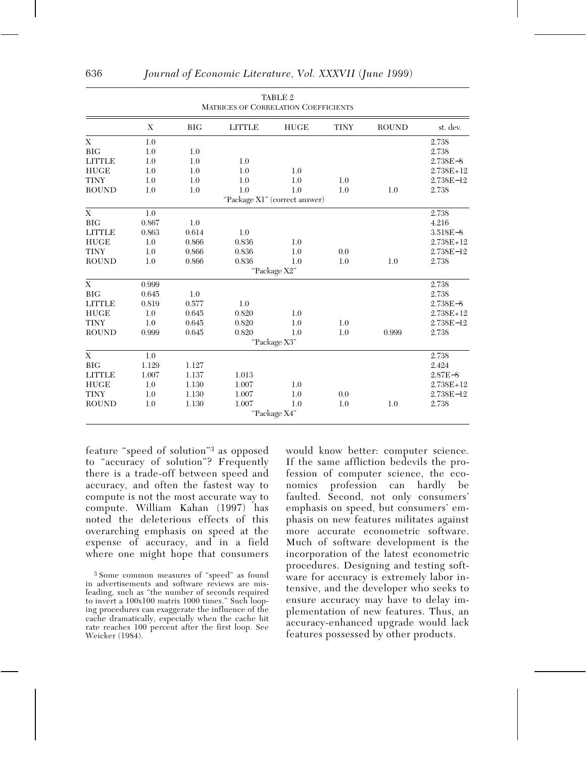|               |       |            | MATRICES OF CORRELATION COEFFICIENTS | TABLE <sub>2</sub>            |             |              |               |
|---------------|-------|------------|--------------------------------------|-------------------------------|-------------|--------------|---------------|
|               | X     | <b>BIG</b> | <b>LITTLE</b>                        | <b>HUGE</b>                   | <b>TINY</b> | <b>ROUND</b> | st. dev.      |
| X             | 1.0   |            |                                      |                               |             |              | 2.738         |
| <b>BIG</b>    | 1.0   | 1.0        |                                      |                               |             |              | 2.738         |
| <b>LITTLE</b> | 1.0   | 1.0        | 1.0                                  |                               |             |              | 2.738E-8      |
| <b>HUGE</b>   | 1.0   | 1.0        | 1.0                                  | 1.0                           |             |              | $2.738E + 12$ |
| <b>TINY</b>   | 1.0   | 1.0        | 1.0                                  | 1.0                           | 1.0         |              | 2.738E-12     |
| <b>ROUND</b>  | 1.0   | 1.0        | 1.0                                  | 1.0                           | 1.0         | 1.0          | 2.738         |
|               |       |            |                                      | "Package X1" (correct answer) |             |              |               |
| $\mathbf X$   | 1.0   |            |                                      |                               |             |              | 2.738         |
| <b>BIG</b>    | 0.867 | 1.0        |                                      |                               |             |              | 4.216         |
| <b>LITTLE</b> | 0.863 | 0.614      | 1.0                                  |                               |             |              | 3.518E-8      |
| <b>HUGE</b>   | 1.0   | 0.866      | 0.836                                | 1.0                           |             |              | $2.738E + 12$ |
| <b>TINY</b>   | 1.0   | 0.866      | 0.836                                | 1.0                           | 0.0         |              | 2.738E-12     |
| <b>ROUND</b>  | 1.0   | 0.866      | 0.836                                | 1.0                           | 1.0         | 1.0          | 2.738         |
|               |       |            |                                      | "Package X2"                  |             |              |               |
| $\mathbf X$   | 0.999 |            |                                      |                               |             |              | 2.738         |
| <b>BIG</b>    | 0.645 | 1.0        |                                      |                               |             |              | 2.738         |
| <b>LITTLE</b> | 0.819 | 0.577      | 1.0                                  |                               |             |              | 2.738E-8      |
| <b>HUGE</b>   | 1.0   | 0.645      | 0.820                                | 1.0                           |             |              | $2.738E + 12$ |
| <b>TINY</b>   | 1.0   | 0.645      | 0.820                                | 1.0                           | 1.0         |              | 2.738E-12     |
| <b>ROUND</b>  | 0.999 | 0.645      | 0.820                                | 1.0                           | 1.0         | 0.999        | 2.738         |
|               |       |            |                                      | "Package X3"                  |             |              |               |
| $\mathbf X$   | 1.0   |            |                                      |                               |             |              | 2.738         |
| <b>BIG</b>    | 1.129 | 1.127      |                                      |                               |             |              | 2.424         |
| <b>LITTLE</b> | 1.007 | 1.137      | 1.013                                |                               |             |              | $2.87E - 8$   |
| <b>HUGE</b>   | 1.0   | 1.130      | 1.007                                | 1.0                           |             |              | $2.738E + 12$ |
| <b>TINY</b>   | 1.0   | 1.130      | 1.007                                | 1.0                           | 0.0         |              | 2.738E-12     |
| <b>ROUND</b>  | 1.0   | 1.130      | 1.007                                | 1.0                           | 1.0         | 1.0          | 2.738         |
|               |       |            |                                      | "Package X4"                  |             |              |               |

feature "speed of solution"3 as opposed to "accuracy of solution"? Frequently there is a trade-off between speed and accuracy, and often the fastest way to compute is not the most accurate way to compute. William Kahan (1997) has noted the deleterious effects of this overarching emphasis on speed at the expense of accuracy, and in a field where one might hope that consumers

3 Some common measures of "speed" as found in advertisements and software reviews are misleading, such as "the number of seconds required to invert a 100x100 matrix 1000 times." Such looping procedures can exaggerate the influence of the cache dramatically, especially when the cache hit rate reaches 100 percent after the first loop. See Weicker (1984).

would know better: computer science. If the same affliction bedevils the profession of computer science, the economics profession can hardly be faulted. Second, not only consumers' emphasis on speed, but consumers' emphasis on new features militates against more accurate econometric software. Much of software development is the incorporation of the latest econometric procedures. Designing and testing software for accuracy is extremely labor intensive, and the developer who seeks to ensure accuracy may have to delay implementation of new features. Thus, an accuracy-enhanced upgrade would lack features possessed by other products.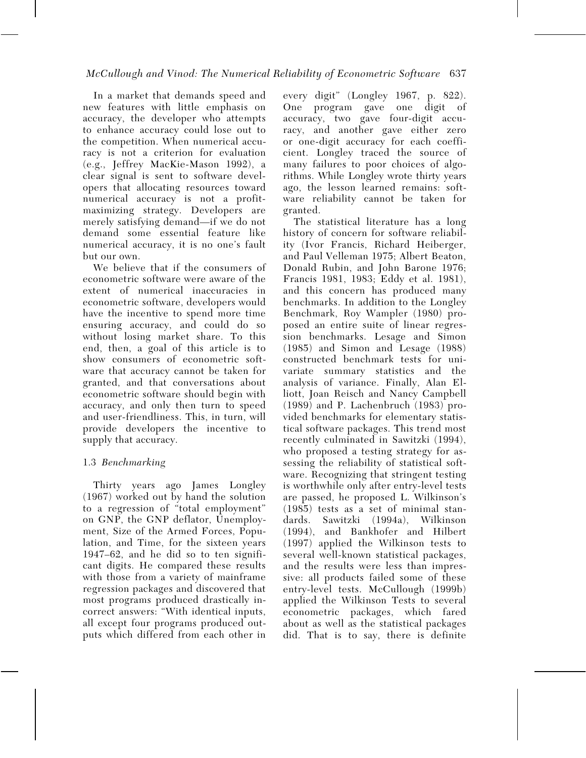In a market that demands speed and new features with little emphasis on accuracy, the developer who attempts to enhance accuracy could lose out to the competition. When numerical accuracy is not a criterion for evaluation (e.g., Jeffrey MacKie-Mason 1992), a clear signal is sent to software developers that allocating resources toward numerical accuracy is not a profitmaximizing strategy. Developers are merely satisfying demand—if we do not demand some essential feature like numerical accuracy, it is no one's fault but our own.

We believe that if the consumers of econometric software were aware of the extent of numerical inaccuracies in econometric software, developers would have the incentive to spend more time ensuring accuracy, and could do so without losing market share. To this end, then, a goal of this article is to show consumers of econometric software that accuracy cannot be taken for granted, and that conversations about econometric software should begin with accuracy, and only then turn to speed and user-friendliness. This, in turn, will provide developers the incentive to supply that accuracy.

# 1.3 *Benchmarking*

Thirty years ago James Longley (1967) worked out by hand the solution to a regression of "total employment" on GNP, the GNP deflator, Unemployment, Size of the Armed Forces, Population, and Time, for the sixteen years 1947–62, and he did so to ten significant digits. He compared these results with those from a variety of mainframe regression packages and discovered that most programs produced drastically incorrect answers: "With identical inputs, all except four programs produced outputs which differed from each other in

every digit" (Longley 1967, p. 822). One program gave one digit of accuracy, two gave four-digit accuracy, and another gave either zero or one-digit accuracy for each coefficient. Longley traced the source of many failures to poor choices of algorithms. While Longley wrote thirty years ago, the lesson learned remains: software reliability cannot be taken for granted.

The statistical literature has a long history of concern for software reliability (Ivor Francis, Richard Heiberger, and Paul Velleman 1975; Albert Beaton, Donald Rubin, and John Barone 1976; Francis 1981, 1983; Eddy et al. 1981), and this concern has produced many benchmarks. In addition to the Longley Benchmark, Roy Wampler (1980) proposed an entire suite of linear regression benchmarks. Lesage and Simon (1985) and Simon and Lesage (1988) constructed benchmark tests for univariate summary statistics and the analysis of variance. Finally, Alan Elliott, Joan Reisch and Nancy Campbell (1989) and P. Lachenbruch (1983) provided benchmarks for elementary statistical software packages. This trend most recently culminated in Sawitzki (1994), who proposed a testing strategy for assessing the reliability of statistical software. Recognizing that stringent testing is worthwhile only after entry-level tests are passed, he proposed L. Wilkinson's (1985) tests as a set of minimal standards. Sawitzki (1994a), Wilkinson (1994), and Bankhofer and Hilbert (1997) applied the Wilkinson tests to several well-known statistical packages, and the results were less than impressive: all products failed some of these entry-level tests. McCullough (1999b) applied the Wilkinson Tests to several econometric packages, which fared about as well as the statistical packages did. That is to say, there is definite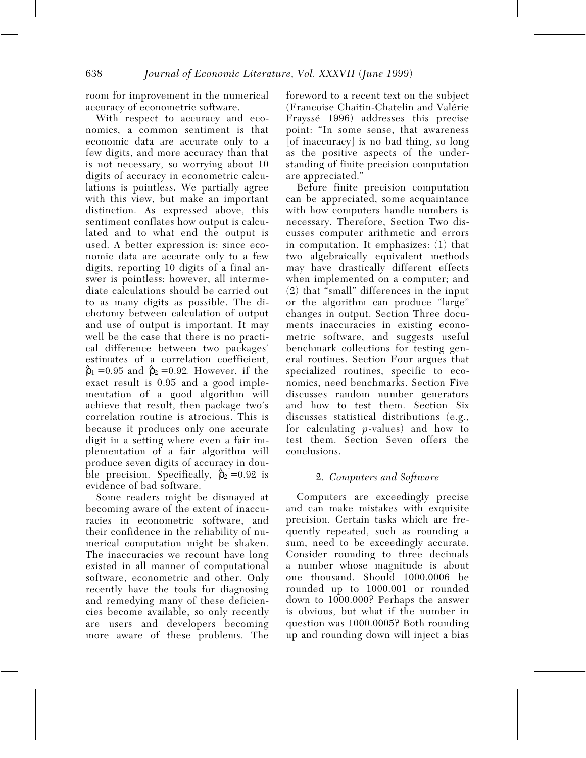room for improvement in the numerical accuracy of econometric software.

With respect to accuracy and economics, a common sentiment is that economic data are accurate only to a few digits, and more accuracy than that is not necessary, so worrying about 10 digits of accuracy in econometric calculations is pointless. We partially agree with this view, but make an important distinction. As expressed above, this sentiment conflates how output is calculated and to what end the output is used. A better expression is: since economic data are accurate only to a few digits, reporting 10 digits of a final answer is pointless; however, all intermediate calculations should be carried out to as many digits as possible. The dichotomy between calculation of output and use of output is important. It may well be the case that there is no practical difference between two packages' estimates of a correlation coefficient,  $\hat{\rho}_1 = 0.95$  and  $\hat{\rho}_2 = 0.92$ . However, if the exact result is 0.95 and a good implementation of a good algorithm will achieve that result, then package two's correlation routine is atrocious. This is because it produces only one accurate digit in a setting where even a fair implementation of a fair algorithm will produce seven digits of accuracy in double precision. Specifically,  $\hat{\rho}_2 = 0.92$  is evidence of bad software.

Some readers might be dismayed at becoming aware of the extent of inaccuracies in econometric software, and their confidence in the reliability of numerical computation might be shaken. The inaccuracies we recount have long existed in all manner of computational software, econometric and other. Only recently have the tools for diagnosing and remedying many of these deficiencies become available, so only recently are users and developers becoming more aware of these problems. The

foreword to a recent text on the subject (Francoise Chaitin-Chatelin and Valérie Frayssé 1996) addresses this precise point: "In some sense, that awareness [of inaccuracy] is no bad thing, so long as the positive aspects of the understanding of finite precision computation are appreciated."

Before finite precision computation can be appreciated, some acquaintance with how computers handle numbers is necessary. Therefore, Section Two discusses computer arithmetic and errors in computation. It emphasizes: (1) that two algebraically equivalent methods may have drastically different effects when implemented on a computer; and (2) that "small" differences in the input or the algorithm can produce "large" changes in output. Section Three documents inaccuracies in existing econometric software, and suggests useful benchmark collections for testing general routines. Section Four argues that specialized routines, specific to economics, need benchmarks. Section Five discusses random number generators and how to test them. Section Six discusses statistical distributions (e.g., for calculating *p*-values) and how to test them. Section Seven offers the conclusions.

#### 2. *Computers and Software*

Computers are exceedingly precise and can make mistakes with exquisite precision. Certain tasks which are frequently repeated, such as rounding a sum, need to be exceedingly accurate. Consider rounding to three decimals a number whose magnitude is about one thousand. Should 1000.0006 be rounded up to 1000.001 or rounded down to 1000.000? Perhaps the answer is obvious, but what if the number in question was 1000.0005? Both rounding up and rounding down will inject a bias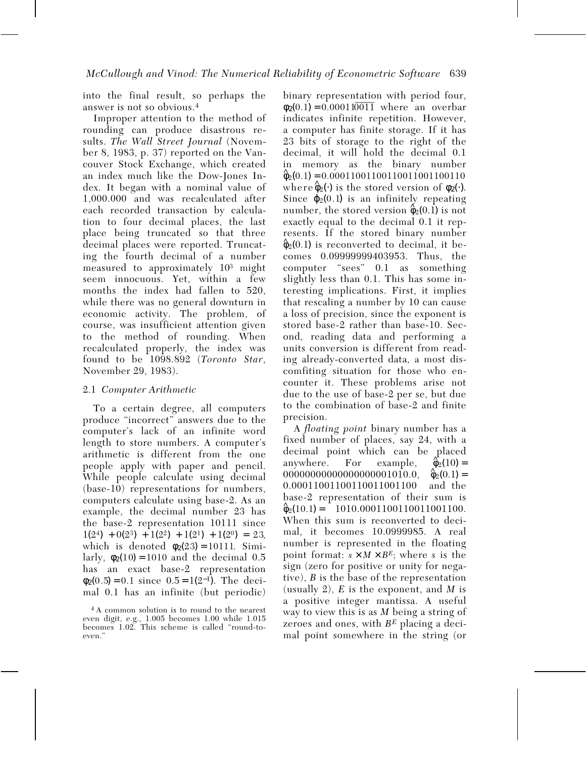into the final result, so perhaps the answer is not so obvious.4

Improper attention to the method of rounding can produce disastrous results. *The Wall Street Journal* (November 8, 1983, p. 37) reported on the Vancouver Stock Exchange, which created an index much like the Dow-Jones Index. It began with a nominal value of 1,000.000 and was recalculated after each recorded transaction by calculation to four decimal places, the last place being truncated so that three decimal places were reported. Truncating the fourth decimal of a number measured to approximately 103 might seem innocuous. Yet, within a few months the index had fallen to 520, while there was no general downturn in economic activity. The problem, of course, was insufficient attention given to the method of rounding. When recalculated properly, the index was found to be 1098.892 (*Toronto Star*, November 29, 1983).

## 2.1 *Computer Arithmetic*

To a certain degree, all computers produce "incorrect" answers due to the computer's lack of an infinite word length to store numbers. A computer's arithmetic is different from the one people apply with paper and pencil. While people calculate using decimal (base-10) representations for numbers, computers calculate using base-2. As an example, the decimal number 23 has the base-2 representation 10111 since  $1(2^4) + 0(2^3) + 1(2^2) + 1(2^1) + 1(2^0) = 23$ , which is denoted  $\phi_2(23) = 10111$ . Similarly,  $\phi_2(10) = 1010$  and the decimal 0.5 has an exact base-2 representation  $\phi_2(0.5) = 0.1$  since  $0.5 = 1(2^{-1})$ . The decimal 0.1 has an infinite (but periodic) binary representation with period four,  $\phi_2(0.1) = 0.00011\overline{0011}$  where an overbar indicates infinite repetition. However, a computer has finite storage. If it has 23 bits of storage to the right of the decimal, it will hold the decimal 0.1 in memory as the binary number  $\hat{\phi}_2(0.1) = 0.00011001100110011001100110$ where  $\hat{\phi}_2(\cdot)$  is the stored version of  $\phi_2(\cdot)$ . Since  $\varphi_2(0,1)$  is an infinitely repeating number, the stored version φ *^*2(0.1) is not exactly equal to the decimal 0.1 it represents. If the stored binary number  $\hat{\phi}_2$ (0.1) is reconverted to decimal, it becomes 0.09999999403953. Thus, the computer "sees" 0.1 as something slightly less than 0.1. This has some interesting implications. First, it implies that rescaling a number by 10 can cause a loss of precision, since the exponent is stored base-2 rather than base-10. Second, reading data and performing a units conversion is different from reading already-converted data, a most discomfiting situation for those who encounter it. These problems arise not due to the use of base-2 per se, but due to the combination of base-2 and finite precision.

A *floating point* binary number has a fixed number of places, say 24, with a decimal point which can be placed anywhere. For example,  $\hat{\phi}_2(10) =$ 00000000000000000001010.0, φ  $\hat{\Phi}_2(0.1) =$ 0.00011001100110011001100 and the base-2 representation of their sum is  $\hat{\phi}_2(10.1) = \begin{bmatrix} 1010.0001100110011001100. \end{bmatrix}$ When this sum is reconverted to decimal, it becomes 10.0999985. A real number is represented in the floating point format:  $s \times M \times B^E$ ; where *s* is the sign (zero for positive or unity for negative), *B* is the base of the representation (usually 2), *E* is the exponent, and *M* is a positive integer mantissa. A useful way to view this is as *M* being a string of zeroes and ones, with *BE* placing a decimal point somewhere in the string (or

<sup>4</sup> A common solution is to round to the nearest even digit, e.g., 1.005 becomes 1.00 while 1.015 becomes 1.02. This scheme is called "round-toeven."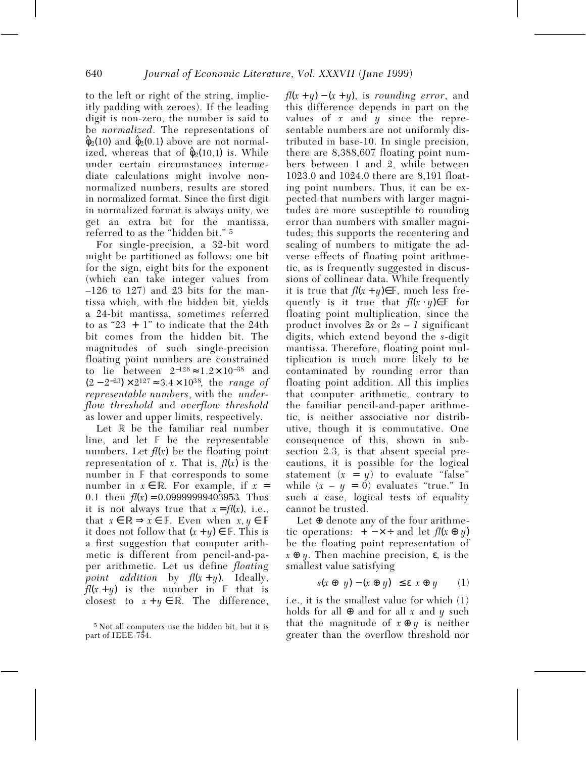to the left or right of the string, implicitly padding with zeroes). If the leading digit is non-zero, the number is said to be *normalized*. The representations of  $\hat{\phi}_2(10)$  and  $\hat{\phi}_2(0.1)$  above are not normalized, whereas that of  $\hat{\phi}_2(10.1)$  is. While under certain circumstances intermediate calculations might involve nonnormalized numbers, results are stored in normalized format. Since the first digit in normalized format is always unity, we get an extra bit for the mantissa, referred to as the "hidden bit." 5

For single-precision, a 32-bit word might be partitioned as follows: one bit for the sign, eight bits for the exponent (which can take integer values from –126 to 127) and 23 bits for the mantissa which, with the hidden bit, yields a 24-bit mantissa, sometimes referred to as "23 + 1" to indicate that the 24th bit comes from the hidden bit. The magnitudes of such single-precision floating point numbers are constrained to lie between  $2^{-126} \approx 1.2 \times 10^{-38}$  and (2 − 2<sup>−</sup>23) × 2127 ≈ 3.4 × 1038, the *range of representable numbers*, with the *underflow threshold* and *overflow threshold* as lower and upper limits, respectively.

Let  $\mathbb R$  be the familiar real number line, and let F be the representable numbers. Let  $fl(x)$  be the floating point representation of *x*. That is, *fl*(*x*) is the number in F that corresponds to some number in  $x \in \mathbb{R}$ . For example, if  $x =$ 0.1 then  $fl(x) = 0.09999999403953$ . Thus it is not always true that  $x = fl(x)$ , i.e., that  $x \in \mathbb{R} \Rightarrow x \in \mathbb{F}$ . Even when  $x, y \in \mathbb{F}$ it does not follow that  $(x + y) \in \mathbb{F}$ . This is a first suggestion that computer arithmetic is different from pencil-and-paper arithmetic. Let us define *floating point addition* by  $f(x+y)$ . Ideally,  $fl(x + y)$  is the number in  $\mathbb F$  that is closest to  $x + y \in \mathbb{R}$ . The difference,

 $f(x+y) - (x+y)$ , is *rounding error*, and this difference depends in part on the values of *x* and *y* since the representable numbers are not uniformly distributed in base-10. In single precision, there are 8,388,607 floating point numbers between 1 and 2, while between 1023.0 and 1024.0 there are 8,191 floating point numbers. Thus, it can be expected that numbers with larger magnitudes are more susceptible to rounding error than numbers with smaller magnitudes; this supports the recentering and scaling of numbers to mitigate the adverse effects of floating point arithmetic, as is frequently suggested in discussions of collinear data. While frequently it is true that  $fl(x + y) ∈ F$ , much less frequently is it true that  $fl(x \cdot y) \in \mathbb{F}$  for floating point multiplication, since the product involves 2*s* or 2*s – 1* significant digits, which extend beyond the *s*-digit mantissa. Therefore, floating point multiplication is much more likely to be contaminated by rounding error than floating point addition. All this implies that computer arithmetic, contrary to the familiar pencil-and-paper arithmetic, is neither associative nor distributive, though it is commutative. One consequence of this, shown in subsection 2.3, is that absent special precautions, it is possible for the logical statement  $(x = y)$  to evaluate "false" while  $(x - y = 0)$  evaluates "true." In such a case, logical tests of equality cannot be trusted.

Let ⊕ denote any of the four arithmetic operations:  $+$  −  $\times$  ÷ and let  $fl(x \oplus y)$ be the floating point representation of  $x \oplus y$ . Then machine precision,  $\varepsilon$ , is the smallest value satisfying

$$
|s(x \oplus y) - (x \oplus y)| \le \varepsilon |x \oplus y| \qquad (1)
$$

i.e., it is the smallest value for which (1) holds for all  $\oplus$  and for all x and y such that the magnitude of  $x \oplus y$  is neither greater than the overflow threshold nor

<sup>5</sup> Not all computers use the hidden bit, but it is part of IEEE-754.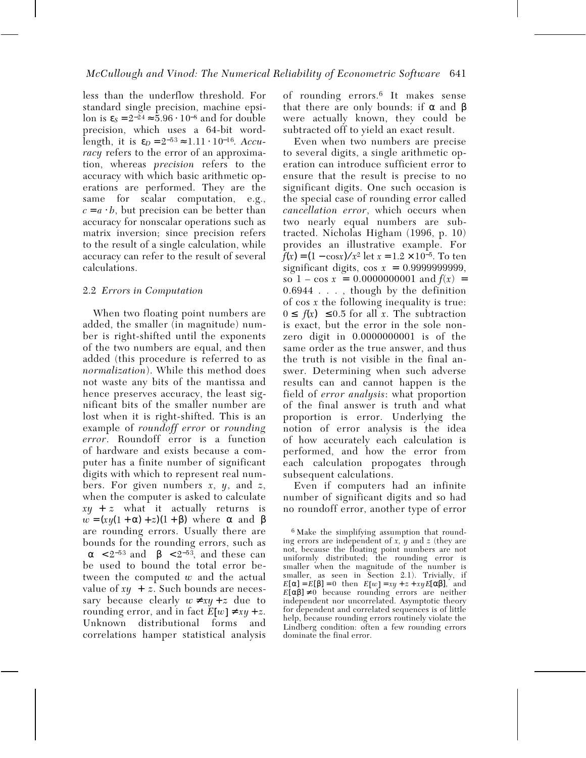less than the underflow threshold. For standard single precision, machine epsilon is  $\varepsilon_s = 2^{-24} \approx 5.96 \cdot 10^{-8}$  and for double precision, which uses a 64-bit wordlength, it is  $\varepsilon_D = 2^{-53} \approx 1.11 \cdot 10^{-16}$ . *Accuracy* refers to the error of an approximation, whereas *precision* refers to the accuracy with which basic arithmetic operations are performed. They are the same for scalar computation, e.g.,  $c = a \cdot b$ , but precision can be better than accuracy for nonscalar operations such as matrix inversion; since precision refers to the result of a single calculation, while accuracy can refer to the result of several calculations.

## 2.2 *Errors in Computation*

When two floating point numbers are added, the smaller (in magnitude) number is right-shifted until the exponents of the two numbers are equal, and then added (this procedure is referred to as *normalization*). While this method does not waste any bits of the mantissa and hence preserves accuracy, the least significant bits of the smaller number are lost when it is right-shifted. This is an example of *roundoff error* or *rounding error*. Roundoff error is a function of hardware and exists because a computer has a finite number of significant digits with which to represent real numbers. For given numbers *x*, *y*, and *z*, when the computer is asked to calculate  $xy + z$  what it actually returns is  $w = (xy(1 + \alpha) + z)(1 + \beta)$  where  $\alpha$  and  $\beta$ are rounding errors. Usually there are bounds for the rounding errors, such as  $|\alpha| < 2^{-53}$  and  $|\beta| < 2^{-53}$ , and these can be used to bound the total error between the computed *w* and the actual value of *xy* + *z*. Such bounds are necessary because clearly  $w \neq xy + z$  due to rounding error, and in fact  $E[w] \neq xy + z$ . Unknown distributional forms and correlations hamper statistical analysis of rounding errors.6 It makes sense that there are only bounds: if  $\alpha$  and  $\beta$ were actually known, they could be subtracted off to yield an exact result.

Even when two numbers are precise to several digits, a single arithmetic operation can introduce sufficient error to ensure that the result is precise to no significant digits. One such occasion is the special case of rounding error called *cancellation error*, which occurs when two nearly equal numbers are subtracted. Nicholas Higham (1996, p. 10) provides an illustrative example. For  $f(x) = (1 - \cos x)/x^2$  let  $x = 1.2 \times 10^{-5}$ . To ten significant digits, cos *x* = 0.9999999999, so  $1 - \cos x = 0.0000000001$  and  $f(x) =$ 0.6944 . . . , though by the definition of cos *x* the following inequality is true:  $0 \le |f(x)| \le 0.5$  for all *x*. The subtraction is exact, but the error in the sole nonzero digit in 0.0000000001 is of the same order as the true answer, and thus the truth is not visible in the final answer. Determining when such adverse results can and cannot happen is the field of *error analysis*: what proportion of the final answer is truth and what proportion is error. Underlying the notion of error analysis is the idea of how accurately each calculation is performed, and how the error from each calculation propogates through subsequent calculations.

Even if computers had an infinite number of significant digits and so had no roundoff error, another type of error

<sup>6</sup> Make the simplifying assumption that rounding errors are independent of *x, y* and *z* (they are not, because the floating point numbers are not uniformly distributed; the rounding error is smaller when the magnitude of the number is smaller, as seen in Section 2.1). Trivially, if  $E[\alpha] = E[\beta] = 0$  then  $E[w] = xy + z + xyE[\alpha\beta]$ , and  $E[\alpha\beta] \neq 0$  because rounding errors are neither independent nor uncorrelated. Asymptotic theory for dependent and correlated sequences is of little help, because rounding errors routinely violate the Lindberg condition: often a few rounding errors dominate the final error.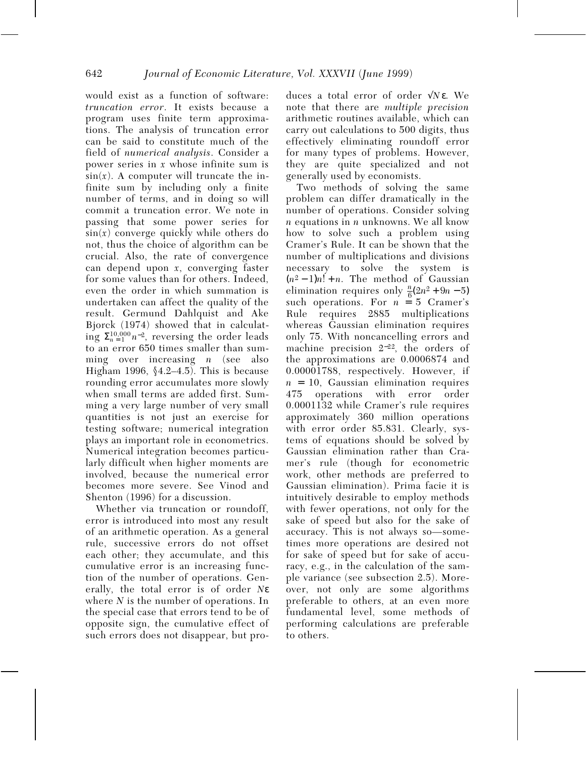would exist as a function of software: *truncation error*. It exists because a program uses finite term approximations. The analysis of truncation error can be said to constitute much of the field of *numerical analysis*. Consider a power series in *x* whose infinite sum is  $sin(x)$ . A computer will truncate the infinite sum by including only a finite number of terms, and in doing so will commit a truncation error. We note in passing that some power series for  $sin(x)$  converge quickly while others do not, thus the choice of algorithm can be crucial. Also, the rate of convergence can depend upon *x*, converging faster for some values than for others. Indeed, even the order in which summation is undertaken can affect the quality of the result. Germund Dahlquist and Ake Bjorck (1974) showed that in calculating  $\Sigma_{n=1}^{10,000} n^{-2}$ , reversing the order leads to an error 650 times smaller than summing over increasing *n* (see also Higham 1996, §4.2–4.5). This is because rounding error accumulates more slowly when small terms are added first. Summing a very large number of very small quantities is not just an exercise for testing software; numerical integration plays an important role in econometrics. Numerical integration becomes particularly difficult when higher moments are involved, because the numerical error becomes more severe. See Vinod and Shenton (1996) for a discussion.

Whether via truncation or roundoff, error is introduced into most any result of an arithmetic operation. As a general rule, successive errors do not offset each other; they accumulate, and this cumulative error is an increasing function of the number of operations. Generally, the total error is of order *N*ε where *N* is the number of operations. In the special case that errors tend to be of opposite sign, the cumulative effect of such errors does not disappear, but produces a total error of order √*N* ε. We note that there are *multiple precision* arithmetic routines available, which can carry out calculations to 500 digits, thus effectively eliminating roundoff error for many types of problems. However, they are quite specialized and not generally used by economists.

Two methods of solving the same problem can differ dramatically in the number of operations. Consider solving *n* equations in *n* unknowns. We all know how to solve such a problem using Cramer's Rule. It can be shown that the number of multiplications and divisions necessary to solve the system is  $(n^2-1)n! + n$ . The method of Gaussian elimination requires only  $\frac{n}{6}(2n^2 + 9n - 5)$ such operations. For  $n = 5$  Cramer's Rule requires 2885 multiplications whereas Gaussian elimination requires only 75. With noncancelling errors and machine precision 2<sup>−</sup>22, the orders of the approximations are 0.0006874 and 0.00001788, respectively. However, if  $n = 10$ , Gaussian elimination requires 475 operations with error order 0.0001132 while Cramer's rule requires approximately 360 million operations with error order 85.831. Clearly, systems of equations should be solved by Gaussian elimination rather than Cramer's rule (though for econometric work, other methods are preferred to Gaussian elimination). Prima facie it is intuitively desirable to employ methods with fewer operations, not only for the sake of speed but also for the sake of accuracy. This is not always so—sometimes more operations are desired not for sake of speed but for sake of accuracy, e.g., in the calculation of the sample variance (see subsection 2.5). Moreover, not only are some algorithms preferable to others, at an even more fundamental level, some methods of performing calculations are preferable to others.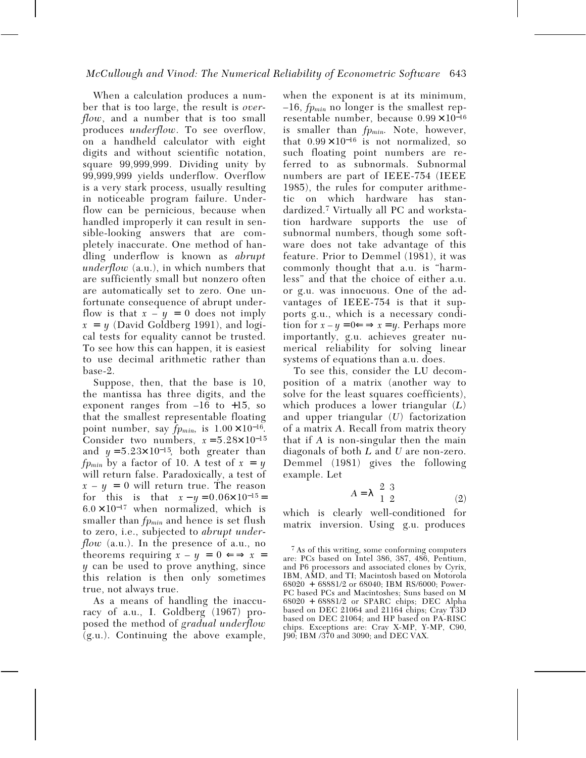When a calculation produces a number that is too large, the result is *overflow*, and a number that is too small produces *underflow*. To see overflow, on a handheld calculator with eight digits and without scientific notation, square 99,999,999. Dividing unity by 99,999,999 yields underflow. Overflow is a very stark process, usually resulting in noticeable program failure. Underflow can be pernicious, because when handled improperly it can result in sensible-looking answers that are completely inaccurate. One method of handling underflow is known as *abrupt underflow* (a.u.), in which numbers that are sufficiently small but nonzero often are automatically set to zero. One unfortunate consequence of abrupt underflow is that  $x - y = 0$  does not imply  $x = y$  (David Goldberg 1991), and logical tests for equality cannot be trusted. To see how this can happen, it is easiest to use decimal arithmetic rather than base-2.

Suppose, then, that the base is 10, the mantissa has three digits, and the exponent ranges from –16 to +15, so that the smallest representable floating point number, say  $f_{p_{min}}$ , is  $1.00 \times 10^{-16}$ . Consider two numbers,  $x = 5.28 \times 10^{-15}$ and  $y = 5.23 \times 10^{-15}$ , both greater than *fp<sub>min</sub>* by a factor of 10. A test of  $x = y$ will return false. Paradoxically, a test of  $x - y = 0$  will return true. The reason for this is that  $x - y = 0.06 \times 10^{-15}$  $6.0 \times 10^{-17}$  when normalized, which is smaller than *fpmin* and hence is set flush to zero, i.e., subjected to *abrupt underflow* (a.u.). In the presence of a.u., no theorems requiring  $x - y = 0 \Leftrightarrow x =$ *y* can be used to prove anything, since this relation is then only sometimes true, not always true.

As a means of handling the inaccuracy of a.u., I. Goldberg (1967) proposed the method of *gradual underflow* (g.u.). Continuing the above example,

when the exponent is at its minimum, –16, *fpmin* no longer is the smallest representable number, because 0.99 × 10−<sup>16</sup> is smaller than *fpmin*. Note, however, that  $0.99 \times 10^{-16}$  is not normalized, so such floating point numbers are referred to as subnormals. Subnormal numbers are part of IEEE-754 (IEEE 1985), the rules for computer arithmetic on which hardware has standardized.7 Virtually all PC and workstation hardware supports the use of subnormal numbers, though some software does not take advantage of this feature. Prior to Demmel (1981), it was commonly thought that a.u. is "harmless" and that the choice of either a.u. or g.u. was innocuous. One of the advantages of IEEE-754 is that it supports g.u., which is a necessary condition for  $x - y = 0 \Leftrightarrow x = y$ . Perhaps more importantly, g.u. achieves greater numerical reliability for solving linear systems of equations than a.u. does.

To see this, consider the LU decomposition of a matrix (another way to solve for the least squares coefficients), which produces a lower triangular (*L*) and upper triangular (*U*) factorization of a matrix *A*. Recall from matrix theory that if *A* is non-singular then the main diagonals of both *L* and *U* are non-zero. Demmel (1981) gives the following example. Let

$$
A = \lambda \begin{bmatrix} 2 & 3 \\ 1 & 2 \end{bmatrix}
$$
 (2)

which is clearly well-conditioned for matrix inversion. Using g.u. produces

<sup>7</sup> As of this writing, some conforming computers are: PCs based on Intel 386, 387, 486, Pentium, and P6 processors and associated clones by Cyrix, IBM, AMD, and TI; Macintosh based on Motorola 68020 + 68881/2 or 68040; IBM RS/6000; Power-PC based PCs and Macintoshes; Suns based on M 68020 + 68881/2 or SPARC chips; DEC Alpha based on DEC 21064 and 21164 chips; Cray T3D based on DEC 21064; and HP based on PA-RISC chips. Exceptions are: Cray X-MP, Y-MP, C90, J90; IBM /370 and 3090; and DEC VAX.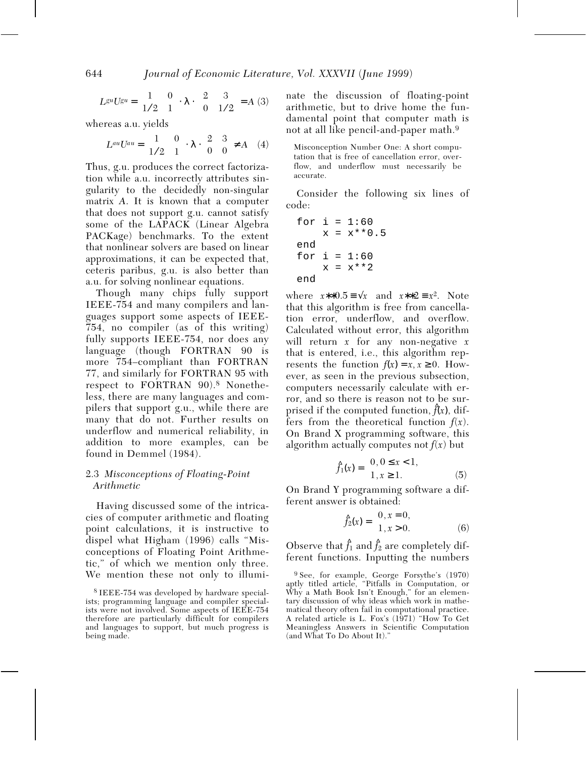$$
L^{gu}U^{gu} = \begin{bmatrix} 1 & 0 \\ 1/2 & 1 \end{bmatrix} \cdot \lambda \cdot \begin{bmatrix} 2 & 3 \\ 0 & 1/2 \end{bmatrix} = A \ (3)
$$

whereas a.u. yields

$$
L^{au}U^{au} = \begin{bmatrix} 1 & 0 \\ 1/2 & 1 \end{bmatrix} \cdot \lambda \cdot \begin{bmatrix} 2 & 3 \\ 0 & 0 \end{bmatrix} \neq A \quad (4)
$$

Thus, g.u. produces the correct factorization while a.u. incorrectly attributes singularity to the decidedly non-singular matrix *A*. It is known that a computer that does not support g.u. cannot satisfy some of the LAPACK (Linear Algebra PACKage) benchmarks. To the extent that nonlinear solvers are based on linear approximations, it can be expected that, ceteris paribus, g.u. is also better than a.u. for solving nonlinear equations.

Though many chips fully support IEEE-754 and many compilers and languages support some aspects of IEEE-754, no compiler (as of this writing) fully supports IEEE-754, nor does any language (though FORTRAN 90 is more 754–compliant than FORTRAN 77, and similarly for FORTRAN 95 with respect to FORTRAN 90).8 Nonetheless, there are many languages and compilers that support g.u., while there are many that do not. Further results on underflow and numerical reliability, in addition to more examples, can be found in Demmel (1984).

## 2.3 *Misconceptions of Floating-Point Arithmetic*

Having discussed some of the intricacies of computer arithmetic and floating point calculations, it is instructive to dispel what Higham (1996) calls "Misconceptions of Floating Point Arithmetic," of which we mention only three. We mention these not only to illumi-

8 IEEE-754 was developed by hardware specialists; programming language and compiler specialists were not involved. Some aspects of IEEE-754 therefore are particularly difficult for compilers and languages to support, but much progress is being made.

nate the discussion of floating-point arithmetic, but to drive home the fundamental point that computer math is not at all like pencil-and-paper math.9

Misconception Number One: A short computation that is free of cancellation error, overflow, and underflow must necessarily be accurate.

Consider the following six lines of code:

$$
for i = 1:60\nx = x**0.5\nend\nfor i = 1:60\nx = x**2\nend
$$

where  $x**0.5 \equiv \sqrt{x}$  and  $x**2 \equiv x^2$ . Note that this algorithm is free from cancellation error, underflow, and overflow. Calculated without error, this algorithm will return *x* for any non-negative *x* that is entered, i.e., this algorithm represents the function  $f(x) = x, x \ge 0$ . However, as seen in the previous subsection, computers necessarily calculate with error, and so there is reason not to be surprised if the computed function,  $\hat{f}\!(x)$ , differs from the theoretical function  $f(x)$ . On Brand X programming software, this algorithm actually computes not  $f(x)$  but

$$
\hat{f}_1(x) = \begin{cases} 0, & 0 \le x < 1, \\ 1, & x \ge 1. \end{cases}
$$
 (5)

On Brand Y programming software a different answer is obtained:

$$
\hat{f}_2(x) = \begin{cases} 0, x = 0, \\ 1, x > 0. \end{cases}
$$
 (6)

Observe that  $\hat{f}_1$  and  $\hat{f}_2$  are completely different functions. Inputting the numbers

9 See, for example, George Forsythe's (1970) aptly titled article, "Pitfalls in Computation, or Why a Math Book Isn't Enough," for an elementary discussion of why ideas which work in mathematical theory often fail in computational practice. A related article is L. Fox's (1971) "How To Get Meaningless Answers in Scientific Computation (and What To Do About It)."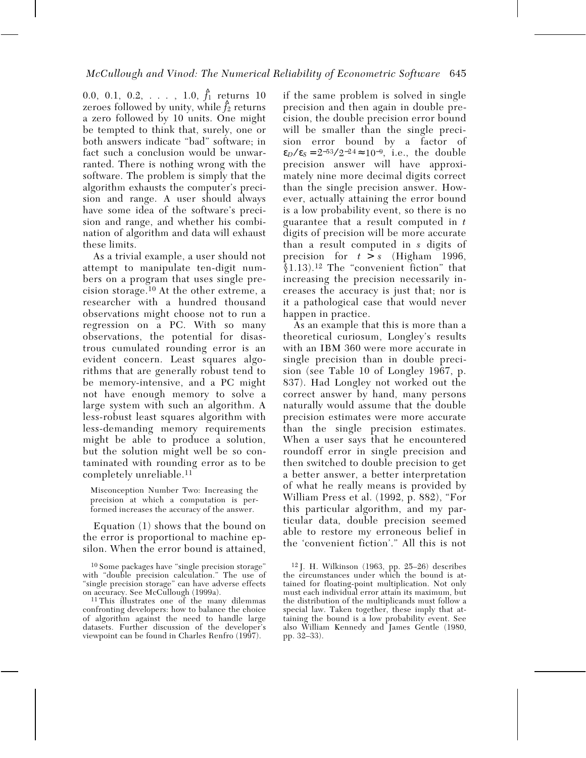$0.0, \,\, 0.1, \,\, 0.2, \,\, \ldots \,\, , \,\,\, 1.0, \,\, \hat{f}_1 \,\,$  returns  $\,\, 10$ zeroes followed by unity, while  $\hat{f}_2$  returns a zero followed by 10 units. One might be tempted to think that, surely, one or both answers indicate "bad" software; in fact such a conclusion would be unwarranted. There is nothing wrong with the software. The problem is simply that the algorithm exhausts the computer's precision and range. A user should always have some idea of the software's precision and range, and whether his combination of algorithm and data will exhaust these limits.

As a trivial example, a user should not attempt to manipulate ten-digit numbers on a program that uses single precision storage.10 At the other extreme, a researcher with a hundred thousand observations might choose not to run a regression on a PC. With so many observations, the potential for disastrous cumulated rounding error is an evident concern. Least squares algorithms that are generally robust tend to be memory-intensive, and a PC might not have enough memory to solve a large system with such an algorithm. A less-robust least squares algorithm with less-demanding memory requirements might be able to produce a solution, but the solution might well be so contaminated with rounding error as to be completely unreliable.11

Misconception Number Two: Increasing the precision at which a computation is performed increases the accuracy of the answer.

Equation (1) shows that the bound on the error is proportional to machine epsilon. When the error bound is attained,

if the same problem is solved in single precision and then again in double precision, the double precision error bound will be smaller than the single precision error bound by a factor of  $\varepsilon_D / \varepsilon_S = 2^{-53} / 2^{-24} \approx 10^{-9}$ , i.e., the double precision answer will have approximately nine more decimal digits correct than the single precision answer. However, actually attaining the error bound is a low probability event, so there is no guarantee that a result computed in *t* digits of precision will be more accurate than a result computed in *s* digits of precision for  $t > s$  (Higham 1996, §1.13).12 The "convenient fiction" that increasing the precision necessarily increases the accuracy is just that; nor is it a pathological case that would never happen in practice.

As an example that this is more than a theoretical curiosum, Longley's results with an IBM 360 were more accurate in single precision than in double precision (see Table 10 of Longley 1967, p. 837). Had Longley not worked out the correct answer by hand, many persons naturally would assume that the double precision estimates were more accurate than the single precision estimates. When a user says that he encountered roundoff error in single precision and then switched to double precision to get a better answer, a better interpretation of what he really means is provided by William Press et al. (1992, p. 882), "For this particular algorithm, and my particular data, double precision seemed able to restore my erroneous belief in the 'convenient fiction'." All this is not

<sup>10</sup> Some packages have "single precision storage" with "double precision calculation." The use of "single precision storage" can have adverse effects

<sup>&</sup>lt;sup>11</sup> This illustrates one of the many dilemmas confronting developers: how to balance the choice of algorithm against the need to handle large datasets. Further discussion of the developer's viewpoint can be found in Charles Renfro (1997).

<sup>12</sup> J. H. Wilkinson (1963, pp. 25–26) describes the circumstances under which the bound is attained for floating-point multiplication. Not only must each individual error attain its maximum, but the distribution of the multiplicands must follow a special law. Taken together, these imply that attaining the bound is a low probability event. See also William Kennedy and James Gentle (1980, pp. 32–33).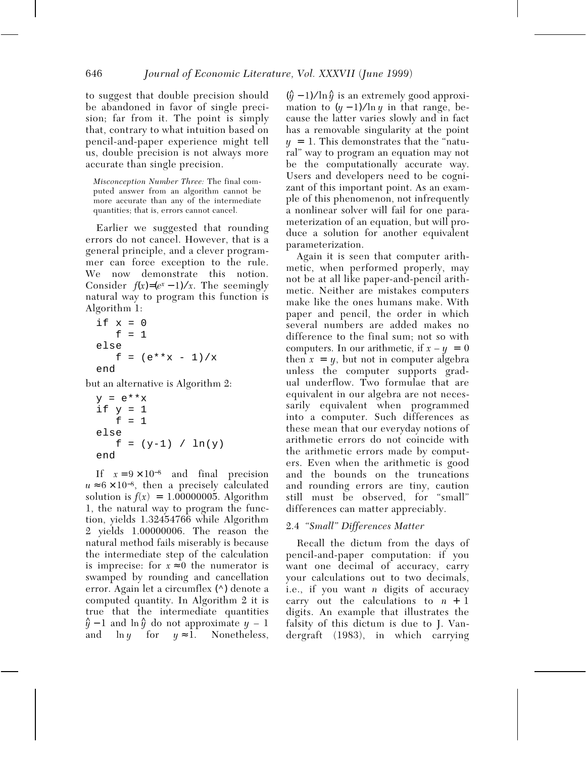to suggest that double precision should be abandoned in favor of single precision; far from it. The point is simply that, contrary to what intuition based on pencil-and-paper experience might tell us, double precision is not always more accurate than single precision.

*Misconception Number Three:* The final computed answer from an algorithm cannot be more accurate than any of the intermediate quantities; that is, errors cannot cancel.

Earlier we suggested that rounding errors do not cancel. However, that is a general principle, and a clever programmer can force exception to the rule. We now demonstrate this notion. Consider  $f(x)=(e^x-1)/x$ . The seemingly natural way to program this function is Algorithm 1:

if x = 0 f = 1 else f = (e\*\*x - 1)/x end

but an alternative is Algorithm 2:

$$
y = e^{**}x
$$
  
if y = 1  
if = 1  
else  
if = (y-1) / ln(y)  
end

If  $x = 9 \times 10^{-8}$  and final precision  $u \approx 6 \times 10^{-8}$ , then a precisely calculated solution is  $f(x) = 1.00000005$ . Algorithm 1, the natural way to program the function, yields 1.32454766 while Algorithm 2 yields 1.00000006. The reason the natural method fails miserably is because the intermediate step of the calculation is imprecise: for  $x \approx 0$  the numerator is swamped by rounding and cancellation error. Again let a circumflex (*^*) denote a computed quantity. In Algorithm 2 it is true that the intermediate quantities  $\hat{y}$  − 1 and ln  $\hat{y}$  do not approximate *y* − 1 and  $\ln y$  for  $y \approx 1$ . Nonetheless,

 $(\hat{y} - 1)$ /ln $\hat{y}$  is an extremely good approximation to  $(y - 1)/\ln y$  in that range, because the latter varies slowly and in fact has a removable singularity at the point *y* = 1. This demonstrates that the "natural" way to program an equation may not be the computationally accurate way. Users and developers need to be cognizant of this important point. As an example of this phenomenon, not infrequently a nonlinear solver will fail for one parameterization of an equation, but will produce a solution for another equivalent parameterization.

Again it is seen that computer arithmetic, when performed properly, may not be at all like paper-and-pencil arithmetic. Neither are mistakes computers make like the ones humans make. With paper and pencil, the order in which several numbers are added makes no difference to the final sum; not so with computers. In our arithmetic, if  $x - y = 0$ then  $x = y$ , but not in computer algebra unless the computer supports gradual underflow. Two formulae that are equivalent in our algebra are not necessarily equivalent when programmed into a computer. Such differences as these mean that our everyday notions of arithmetic errors do not coincide with the arithmetic errors made by computers. Even when the arithmetic is good and the bounds on the truncations and rounding errors are tiny, caution still must be observed, for "small" differences can matter appreciably.

## 2.4 *"Small" Differences Matter*

Recall the dictum from the days of pencil-and-paper computation: if you want one decimal of accuracy, carry your calculations out to two decimals, i.e., if you want *n* digits of accuracy carry out the calculations to  $n + 1$ digits. An example that illustrates the falsity of this dictum is due to J. Vandergraft (1983), in which carrying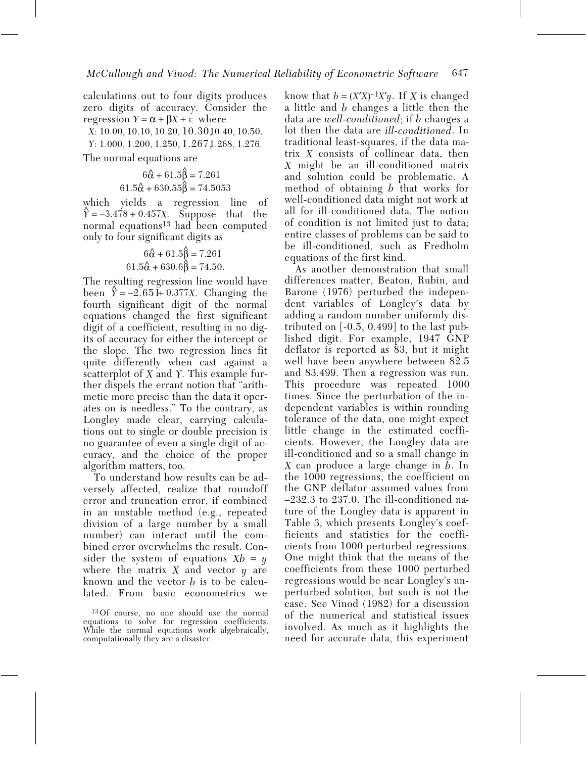calculations out to four digits produces zero digits of accuracy. Consider the regression  $Y = \alpha + \beta X + \epsilon$  where

 $X: 10.00, 10.10, 10.20, 10.3010.40, 10.50.$ 

 $Y: 1.000, 1.200, 1.250, 1.2671.268, 1.276.$ 

The normal equations are

$$
6\hat{\alpha} + 61.5\hat{\beta} = 7.261
$$

$$
61.5\hat{\alpha} + 630.55\hat{\beta} = 74.5053
$$

which yields a regression line of  $\hat{Y} = -3.478 + 0.457X$ . Suppose that the normal equations<sup>13</sup> had been computed only to four significant digits as

$$
6\hat{\alpha} + 61.5\hat{\beta} = 7.261
$$

$$
61.5\hat{\alpha} + 630.6\hat{\beta} = 74.50.
$$

The resulting regression line would have been  $\hat{Y} = -2.651 + 0.377X$ . Changing the fourth significant digit of the normal equations changed the first significant digit of a coefficient, resulting in no digits of accuracy for either the intercept or the slope. The two regression lines fit quite differently when cast against a scatterplot of  $X$  and  $Y$ . This example further dispels the errant notion that "arithmetic more precise than the data it operates on is needless." To the contrary, as Longley made clear, carrying calculations out to single or double precision is no guarantee of even a single digit of accuracy, and the choice of the proper algorithm matters, too.

To understand how results can be adversely affected, realize that roundoff error and truncation error, if combined in an unstable method (e.g., repeated division of a large number by a small number) can interact until the combined error overwhelms the result. Consider the system of equations  $Xb = y$ where the matrix X and vector  $y$  are known and the vector  $b$  is to be calculated. From basic econometrics we

know that  $b = (X'X)^{-1}X'y$ . If X is changed a little and b changes a little then the data are *well-conditioned*; if *b* changes a lot then the data are *ill-conditioned*. In traditional least-squares, if the data matrix  $X$  consists of collinear data, then X might be an ill-conditioned matrix and solution could be problematic. A method of obtaining  $b$  that works for well-conditioned data might not work at all for ill-conditioned data. The notion of condition is not limited just to data; entire classes of problems can be said to be ill-conditioned, such as Fredholm equations of the first kind.

As another demonstration that small differences matter, Beaton, Rubin, and Barone (1976) perturbed the independent variables of Longley's data by adding a random number uniformly distributed on  $[-0.5, 0.499]$  to the last published digit. For example, 1947 GNP deflator is reported as 83, but it might well have been anywhere between 82.5 and 83.499. Then a regression was run. This procedure was repeated 1000 times. Since the perturbation of the independent variables is within rounding tolerance of the data, one might expect little change in the estimated coefficients. However, the Longley data are ill-conditioned and so a small change in X can produce a large change in b. In the 1000 regressions, the coefficient on the GNP deflator assumed values from  $-232.3$  to 237.0. The ill-conditioned nature of the Longley data is apparent in Table 3, which presents Longley's coefficients and statistics for the coefficients from 1000 perturbed regressions. One might think that the means of the coefficients from these 1000 perturbed regressions would be near Longley's unperturbed solution, but such is not the case. See Vinod (1982) for a discussion of the numerical and statistical issues involved. As much as it highlights the need for accurate data, this experiment

<sup>&</sup>lt;sup>13</sup> Of course, no one should use the normal equations to solve for regression coefficients. While the normal equations work algebraically, computationally they are a disaster.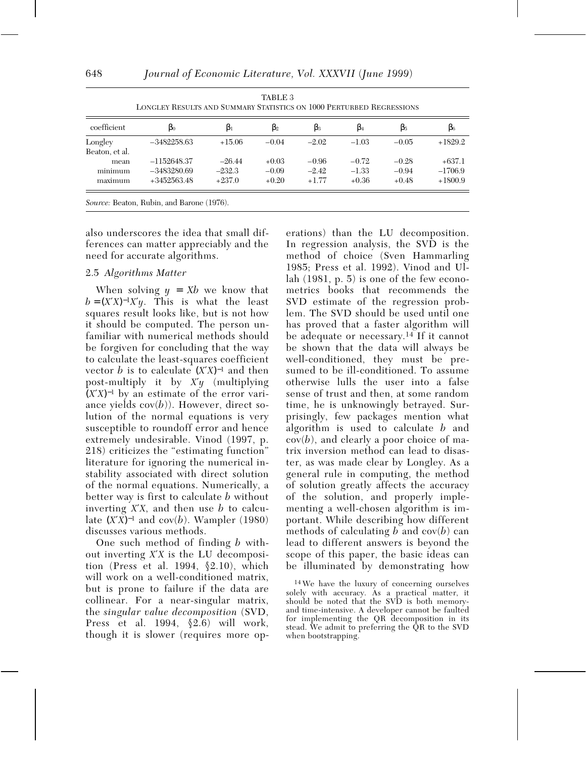| coefficient    | $\beta_0$     | $\beta_1$ | $\beta_2$ | $\beta_3$ | $\beta_4$ | $\beta_5$ | $\beta_6$ |
|----------------|---------------|-----------|-----------|-----------|-----------|-----------|-----------|
| Longley        | $-3482258.63$ | $+15.06$  | $-0.04$   | $-2.02$   | $-1.03$   | $-0.05$   | $+1829.2$ |
| Beaton, et al. |               |           |           |           |           |           |           |
| mean           | $-1152648.37$ | $-26.44$  | $+0.03$   | $-0.96$   | $-0.72$   | $-0.28$   | $+637.1$  |
| minimum        | $-3483280.69$ | $-232.3$  | $-0.09$   | $-2.42$   | $-1.33$   | $-0.94$   | $-1706.9$ |
| maximum        | $+3452563.48$ | $+237.0$  | $+0.20$   | $+1.77$   | $+0.36$   | $+0.48$   | $+1800.9$ |

also underscores the idea that small differences can matter appreciably and the need for accurate algorithms.

#### 2.5 *Algorithms Matter*

When solving  $y = Xb$  we know that  $b = (X'X)^{-1}X'y$ . This is what the least squares result looks like, but is not how it should be computed. The person unfamiliar with numerical methods should be forgiven for concluding that the way to calculate the least-squares coefficient vector *b* is to calculate (*X*′*X*)−1 and then post-multiply it by *X*′*y* (multiplying (*X*′*X*)−1 by an estimate of the error variance yields  $cov(b)$ ). However, direct solution of the normal equations is very susceptible to roundoff error and hence extremely undesirable. Vinod (1997, p. 218) criticizes the "estimating function" literature for ignoring the numerical instability associated with direct solution of the normal equations. Numerically, a better way is first to calculate *b* without inverting *X*′*X*, and then use *b* to calculate (*X*′*X*)−1 and cov(*b*). Wampler (1980) discusses various methods.

One such method of finding *b* without inverting *X*′*X* is the LU decomposition (Press et al. 1994, §2.10), which will work on a well-conditioned matrix, but is prone to failure if the data are collinear. For a near-singular matrix, the *singular value decomposition* (SVD, Press et al. 1994, §2.6) will work, though it is slower (requires more operations) than the LU decomposition. In regression analysis, the SVD is the method of choice (Sven Hammarling 1985; Press et al. 1992). Vinod and Ullah (1981, p. 5) is one of the few econometrics books that recommends the SVD estimate of the regression problem. The SVD should be used until one has proved that a faster algorithm will be adequate or necessary.14 If it cannot be shown that the data will always be well-conditioned, they must be presumed to be ill-conditioned. To assume otherwise lulls the user into a false sense of trust and then, at some random time, he is unknowingly betrayed. Surprisingly, few packages mention what algorithm is used to calculate *b* and cov(*b*), and clearly a poor choice of matrix inversion method can lead to disaster, as was made clear by Longley. As a general rule in computing, the method of solution greatly affects the accuracy of the solution, and properly implementing a well-chosen algorithm is important. While describing how different methods of calculating *b* and cov(*b*) can lead to different answers is beyond the scope of this paper, the basic ideas can be illuminated by demonstrating how

14 We have the luxury of concerning ourselves solely with accuracy. As a practical matter, it should be noted that the SVD is both memoryand time-intensive. A developer cannot be faulted for implementing the QR decomposition in its stead. We admit to preferring the QR to the SVD when bootstrapping.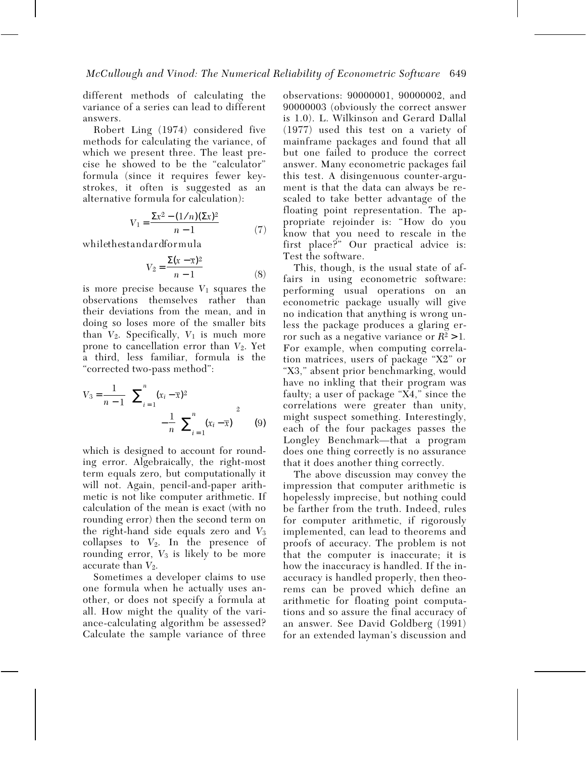different methods of calculating the variance of a series can lead to different answers.

Robert Ling (1974) considered five methods for calculating the variance, of which we present three. The least precise he showed to be the "calculator" formula (since it requires fewer keystrokes, it often is suggested as an alternative formula for calculation):

$$
V_1 = \frac{\Sigma x^2 - (1/n)(\Sigma x)^2}{n - 1} \tag{7}
$$

while the standard formula

$$
V_2 = \frac{\Sigma(x - \bar{x})^2}{n - 1}
$$
 (8)

is more precise because *V*1 squares the observations themselves rather than their deviations from the mean, and in doing so loses more of the smaller bits than  $V_2$ . Specifically,  $V_1$  is much more prone to cancellation error than *V*2. Yet a third, less familiar, formula is the "corrected two-pass method":

$$
V_3 = \frac{1}{n-1} \left\{ \sum_{i=1}^n (x_i - \overline{x})^2 - \frac{1}{n} \left[ \sum_{i=1}^n (x_i - \overline{x}) \right]^2 \right\}
$$
(9)

which is designed to account for rounding error. Algebraically, the right-most term equals zero, but computationally it will not. Again, pencil-and-paper arithmetic is not like computer arithmetic. If calculation of the mean is exact (with no rounding error) then the second term on the right-hand side equals zero and *V*<sup>3</sup> collapses to *V*2. In the presence of rounding error,  $V_3$  is likely to be more accurate than *V*2.

Sometimes a developer claims to use one formula when he actually uses another, or does not specify a formula at all. How might the quality of the variance-calculating algorithm be assessed? Calculate the sample variance of three

observations: 90000001, 90000002, and 90000003 (obviously the correct answer is 1.0). L. Wilkinson and Gerard Dallal (1977) used this test on a variety of mainframe packages and found that all but one failed to produce the correct answer. Many econometric packages fail this test. A disingenuous counter-argument is that the data can always be rescaled to take better advantage of the floating point representation. The appropriate rejoinder is: "How do you know that you need to rescale in the first place?" Our practical advice is: Test the software.

This, though, is the usual state of affairs in using econometric software: performing usual operations on an econometric package usually will give no indication that anything is wrong unless the package produces a glaring error such as a negative variance or *R*<sup>2</sup> > 1*.* For example, when computing correlation matrices, users of package "X2" or "X3," absent prior benchmarking, would have no inkling that their program was faulty; a user of package "X4," since the correlations were greater than unity, might suspect something. Interestingly, each of the four packages passes the Longley Benchmark—that a program does one thing correctly is no assurance that it does another thing correctly.

The above discussion may convey the impression that computer arithmetic is hopelessly imprecise, but nothing could be farther from the truth. Indeed, rules for computer arithmetic, if rigorously implemented, can lead to theorems and proofs of accuracy. The problem is not that the computer is inaccurate; it is how the inaccuracy is handled. If the inaccuracy is handled properly, then theorems can be proved which define an arithmetic for floating point computations and so assure the final accuracy of an answer. See David Goldberg (1991) for an extended layman's discussion and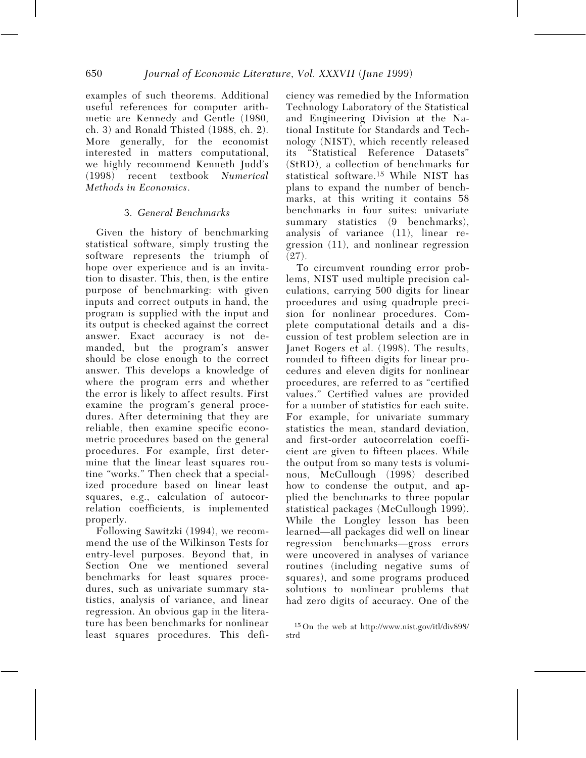examples of such theorems. Additional useful references for computer arithmetic are Kennedy and Gentle (1980, ch. 3) and Ronald Thisted (1988, ch. 2). More generally, for the economist interested in matters computational, we highly recommend Kenneth Judd's (1998) recent textbook *Numerical Methods in Economics*.

## 3. *General Benchmarks*

Given the history of benchmarking statistical software, simply trusting the software represents the triumph of hope over experience and is an invitation to disaster. This, then, is the entire purpose of benchmarking: with given inputs and correct outputs in hand, the program is supplied with the input and its output is checked against the correct answer. Exact accuracy is not demanded, but the program's answer should be close enough to the correct answer. This develops a knowledge of where the program errs and whether the error is likely to affect results. First examine the program's general procedures. After determining that they are reliable, then examine specific econometric procedures based on the general procedures. For example, first determine that the linear least squares routine "works." Then check that a specialized procedure based on linear least squares, e.g., calculation of autocorrelation coefficients, is implemented properly.

Following Sawitzki (1994), we recommend the use of the Wilkinson Tests for entry-level purposes. Beyond that, in Section One we mentioned several benchmarks for least squares procedures, such as univariate summary statistics, analysis of variance, and linear regression. An obvious gap in the literature has been benchmarks for nonlinear least squares procedures. This deficiency was remedied by the Information Technology Laboratory of the Statistical and Engineering Division at the National Institute for Standards and Technology (NIST), which recently released its "Statistical Reference Datasets" (StRD), a collection of benchmarks for statistical software.15 While NIST has plans to expand the number of benchmarks, at this writing it contains 58 benchmarks in four suites: univariate summary statistics (9 benchmarks), analysis of variance (11), linear regression (11), and nonlinear regression (27).

To circumvent rounding error problems, NIST used multiple precision calculations, carrying 500 digits for linear procedures and using quadruple precision for nonlinear procedures. Complete computational details and a discussion of test problem selection are in Janet Rogers et al. (1998). The results, rounded to fifteen digits for linear procedures and eleven digits for nonlinear procedures, are referred to as "certified values." Certified values are provided for a number of statistics for each suite. For example, for univariate summary statistics the mean, standard deviation, and first-order autocorrelation coefficient are given to fifteen places. While the output from so many tests is voluminous, McCullough (1998) described how to condense the output, and applied the benchmarks to three popular statistical packages (McCullough 1999). While the Longley lesson has been learned—all packages did well on linear regression benchmarks—gross errors were uncovered in analyses of variance routines (including negative sums of squares), and some programs produced solutions to nonlinear problems that had zero digits of accuracy. One of the

<sup>15</sup> On the web at http://www.nist.gov/itl/div898/ strd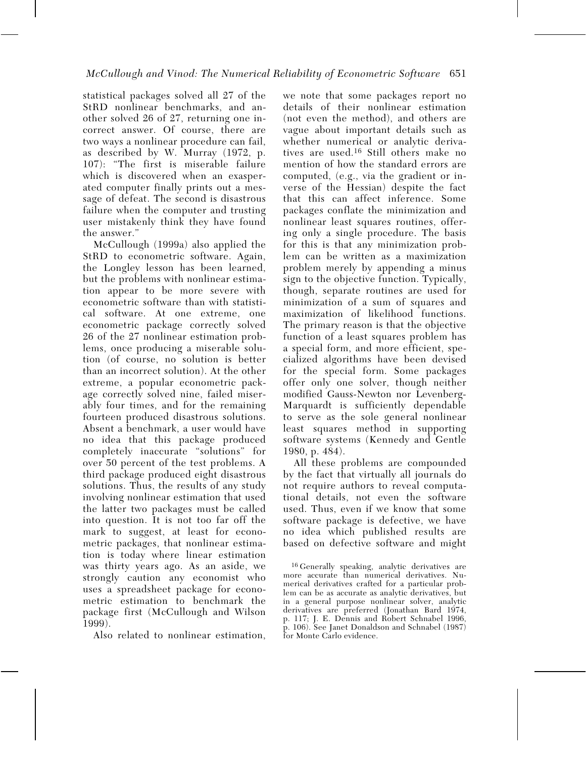statistical packages solved all 27 of the StRD nonlinear benchmarks, and another solved 26 of 27, returning one incorrect answer. Of course, there are two ways a nonlinear procedure can fail, as described by W. Murray (1972, p. 107): "The first is miserable failure which is discovered when an exasperated computer finally prints out a message of defeat. The second is disastrous failure when the computer and trusting user mistakenly think they have found the answer."

McCullough (1999a) also applied the StRD to econometric software. Again, the Longley lesson has been learned, but the problems with nonlinear estimation appear to be more severe with econometric software than with statistical software. At one extreme, one econometric package correctly solved 26 of the 27 nonlinear estimation problems, once producing a miserable solution (of course, no solution is better than an incorrect solution). At the other extreme, a popular econometric package correctly solved nine, failed miserably four times, and for the remaining fourteen produced disastrous solutions. Absent a benchmark, a user would have no idea that this package produced completely inaccurate "solutions" for over 50 percent of the test problems. A third package produced eight disastrous solutions. Thus, the results of any study involving nonlinear estimation that used the latter two packages must be called into question. It is not too far off the mark to suggest, at least for econometric packages, that nonlinear estimation is today where linear estimation was thirty years ago. As an aside, we strongly caution any economist who uses a spreadsheet package for econometric estimation to benchmark the package first (McCullough and Wilson 1999).

Also related to nonlinear estimation,

we note that some packages report no details of their nonlinear estimation (not even the method), and others are vague about important details such as whether numerical or analytic derivatives are used.16 Still others make no mention of how the standard errors are computed, (e.g., via the gradient or inverse of the Hessian) despite the fact that this can affect inference. Some packages conflate the minimization and nonlinear least squares routines, offering only a single procedure. The basis for this is that any minimization problem can be written as a maximization problem merely by appending a minus sign to the objective function. Typically, though, separate routines are used for minimization of a sum of squares and maximization of likelihood functions. The primary reason is that the objective function of a least squares problem has a special form, and more efficient, specialized algorithms have been devised for the special form. Some packages offer only one solver, though neither modified Gauss-Newton nor Levenberg-Marquardt is sufficiently dependable to serve as the sole general nonlinear least squares method in supporting software systems (Kennedy and Gentle 1980, p. 484).

All these problems are compounded by the fact that virtually all journals do not require authors to reveal computational details, not even the software used. Thus, even if we know that some software package is defective, we have no idea which published results are based on defective software and might

<sup>16</sup> Generally speaking, analytic derivatives are more accurate than numerical derivatives. Numerical derivatives crafted for a particular problem can be as accurate as analytic derivatives, but in a general purpose nonlinear solver, analytic derivatives are preferred (Jonathan Bard 1974, p. 117; J. E. Dennis and Robert Schnabel 1996, p. 106). See Janet Donaldson and Schnabel (1987) for Monte Carlo evidence.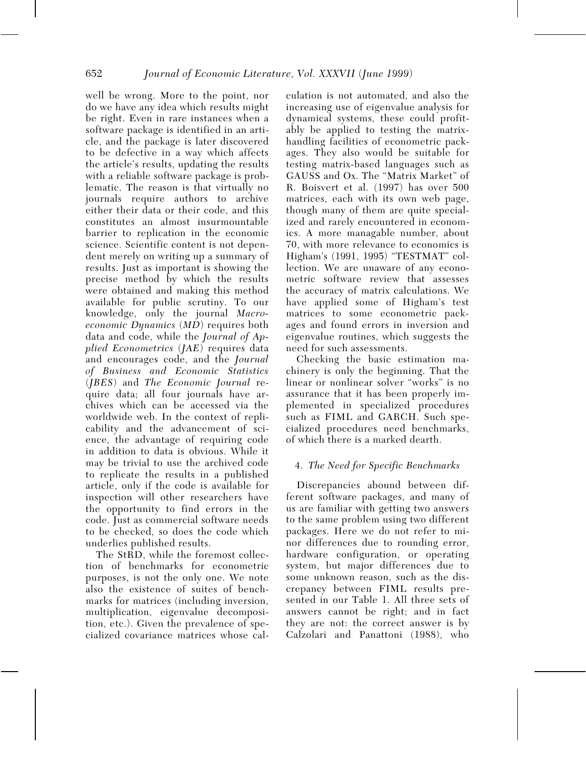well be wrong. More to the point, nor do we have any idea which results might be right. Even in rare instances when a software package is identified in an article, and the package is later discovered to be defective in a way which affects the article's results, updating the results with a reliable software package is problematic. The reason is that virtually no journals require authors to archive either their data or their code, and this constitutes an almost insurmountable barrier to replication in the economic science. Scientific content is not dependent merely on writing up a summary of results. Just as important is showing the precise method by which the results were obtained and making this method available for public scrutiny. To our knowledge, only the journal *Macroeconomic Dynamics* (*MD*) requires both data and code, while the *Journal of Applied Econometrics* (*JAE*) requires data and encourages code, and the *Journal of Business and Economic Statistics* (*JBES*) and *The Economic Journal* require data; all four journals have archives which can be accessed via the worldwide web. In the context of replicability and the advancement of science, the advantage of requiring code in addition to data is obvious. While it may be trivial to use the archived code to replicate the results in a published article, only if the code is available for inspection will other researchers have the opportunity to find errors in the code. Just as commercial software needs to be checked, so does the code which underlies published results.

The StRD, while the foremost collection of benchmarks for econometric purposes, is not the only one. We note also the existence of suites of benchmarks for matrices (including inversion, multiplication, eigenvalue decomposition, etc.). Given the prevalence of specialized covariance matrices whose calculation is not automated, and also the increasing use of eigenvalue analysis for dynamical systems, these could profitably be applied to testing the matrixhandling facilities of econometric packages. They also would be suitable for testing matrix-based languages such as GAUSS and Ox. The "Matrix Market" of R. Boisvert et al. (1997) has over 500 matrices, each with its own web page, though many of them are quite specialized and rarely encountered in economics. A more managable number, about 70, with more relevance to economics is Higham's (1991, 1995) "TESTMAT" collection. We are unaware of any econometric software review that assesses the accuracy of matrix calculations. We have applied some of Higham's test matrices to some econometric packages and found errors in inversion and eigenvalue routines, which suggests the need for such assessments.

Checking the basic estimation machinery is only the beginning. That the linear or nonlinear solver "works" is no assurance that it has been properly implemented in specialized procedures such as FIML and GARCH. Such specialized procedures need benchmarks, of which there is a marked dearth.

#### 4. *The Need for Specific Benchmarks*

Discrepancies abound between different software packages, and many of us are familiar with getting two answers to the same problem using two different packages. Here we do not refer to minor differences due to rounding error, hardware configuration, or operating system, but major differences due to some unknown reason, such as the discrepancy between FIML results presented in our Table 1. All three sets of answers cannot be right; and in fact they are not: the correct answer is by Calzolari and Panattoni (1988), who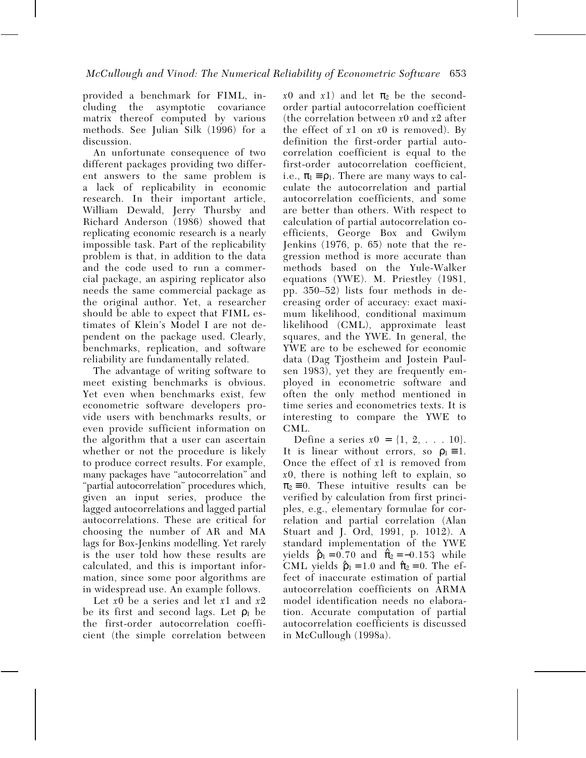provided a benchmark for FIML, including the asymptotic covariance matrix thereof computed by various methods. See Julian Silk (1996) for a discussion.

An unfortunate consequence of two different packages providing two different answers to the same problem is a lack of replicability in economic research. In their important article, William Dewald, Jerry Thursby and Richard Anderson (1986) showed that replicating economic research is a nearly impossible task. Part of the replicability problem is that, in addition to the data and the code used to run a commercial package, an aspiring replicator also needs the same commercial package as the original author. Yet, a researcher should be able to expect that FIML estimates of Klein's Model I are not dependent on the package used. Clearly, benchmarks, replication, and software reliability are fundamentally related.

The advantage of writing software to meet existing benchmarks is obvious. Yet even when benchmarks exist, few econometric software developers provide users with benchmarks results, or even provide sufficient information on the algorithm that a user can ascertain whether or not the procedure is likely to produce correct results. For example, many packages have "autocorrelation" and "partial autocorrelation" procedures which, given an input series, produce the lagged autocorrelations and lagged partial autocorrelations. These are critical for choosing the number of AR and MA lags for Box-Jenkins modelling. Yet rarely is the user told how these results are calculated, and this is important information, since some poor algorithms are in widespread use. An example follows.

Let *x*0 be a series and let *x*1 and *x*2 be its first and second lags. Let  $\rho_1$  be the first-order autocorrelation coefficient (the simple correlation between *x*0 and *x*1) and let  $\pi_2$  be the secondorder partial autocorrelation coefficient (the correlation between *x*0 and *x*2 after the effect of *x*1 on *x*0 is removed). By definition the first-order partial autocorrelation coefficient is equal to the first-order autocorrelation coefficient, i.e.,  $\pi_1 \equiv \rho_1$ . There are many ways to calculate the autocorrelation and partial autocorrelation coefficients, and some are better than others. With respect to calculation of partial autocorrelation coefficients, George Box and Gwilym Jenkins (1976, p. 65) note that the regression method is more accurate than methods based on the Yule-Walker equations (YWE). M. Priestley (1981, pp. 350–52) lists four methods in decreasing order of accuracy: exact maximum likelihood, conditional maximum likelihood (CML), approximate least squares, and the YWE. In general, the YWE are to be eschewed for economic data (Dag Tjostheim and Jostein Paulsen 1983), yet they are frequently employed in econometric software and often the only method mentioned in time series and econometrics texts. It is interesting to compare the YWE to CML.

Define a series  $x0 = \{1, 2, \ldots, 10\}.$ It is linear without errors, so  $\rho_1 = 1$ . Once the effect of *x*1 is removed from *x*0, there is nothing left to explain, so  $\pi_2 = 0$ . These intuitive results can be verified by calculation from first principles, e.g., elementary formulae for correlation and partial correlation (Alan Stuart and J. Ord, 1991, p. 1012). A standard implementation of the YWE yields  $\hat{\rho}_1 = 0.70$  and  $\hat{\pi}_2 = -0.153$  while CML yields  $\hat{\rho}_1 = 1.0$  and  $\hat{\pi}_2 = 0$ . The effect of inaccurate estimation of partial autocorrelation coefficients on ARMA model identification needs no elaboration. Accurate computation of partial autocorrelation coefficients is discussed in McCullough (1998a).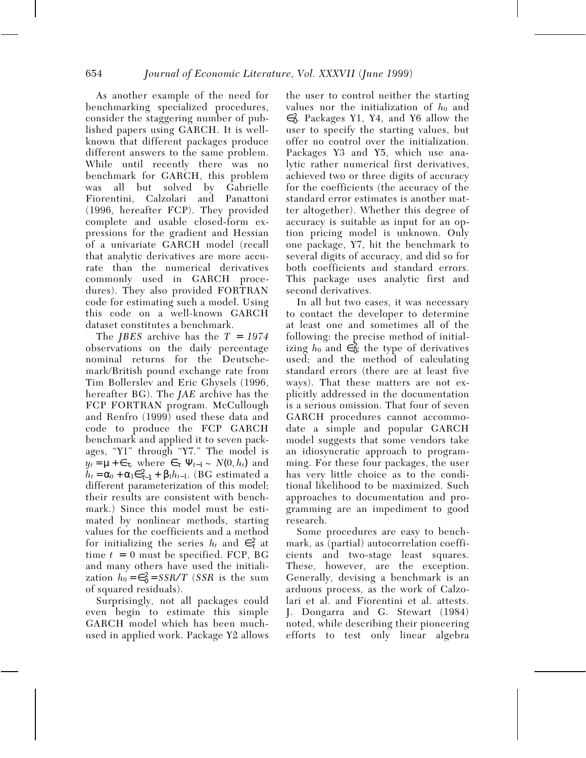As another example of the need for benchmarking specialized procedures, consider the staggering number of published papers using GARCH. It is wellknown that different packages produce different answers to the same problem. While until recently there was no benchmark for GARCH, this problem was all but solved by Gabrielle Fiorentini, Calzolari and Panattoni (1996, hereafter FCP). They provided complete and usable closed-form expressions for the gradient and Hessian of a univariate GARCH model (recall that analytic derivatives are more accurate than the numerical derivatives commonly used in GARCH procedures). They also provided FORTRAN code for estimating such a model. Using this code on a well-known GARCH dataset constitutes a benchmark.

The *JBES* archive has the *T* = *1974* observations on the daily percentage nominal returns for the Deutschemark/British pound exchange rate from Tim Bollerslev and Eric Ghysels (1996, hereafter BG). The *JAE* archive has the FCP FORTRAN program. McCullough and Renfro (1999) used these data and code to produce the FCP GARCH benchmark and applied it to seven packages, "Y1" through "Y7." The model is  $y_t = \mu + \epsilon_\tau$ , where  $\epsilon_\tau | \Psi_{t-1} \sim N(0, h_t)$  and  $h_t = \alpha_0 + \alpha_1 \in \frac{2}{3-1} + \beta_1 h_{t-1}$ . (BG estimated a different parameterization of this model; their results are consistent with benchmark.) Since this model must be estimated by nonlinear methods, starting values for the coefficients and a method for initializing the series  $h_t$  and  $\in_{\tau}^2$  at time *t* = 0 must be specified. FCP, BG and many others have used the initialization  $h_0 = \epsilon_0^2 = SSR/T$  (*SSR* is the sum of squared residuals).

Surprisingly, not all packages could even begin to estimate this simple GARCH model which has been muchused in applied work. Package Y2 allows the user to control neither the starting values nor the initialization of  $h_0$  and ∈0 <sup>2</sup>. Packages Y1, Y4, and Y6 allow the user to specify the starting values, but offer no control over the initialization. Packages Y3 and Y5, which use analytic rather numerical first derivatives, achieved two or three digits of accuracy for the coefficients (the accuracy of the standard error estimates is another matter altogether). Whether this degree of accuracy is suitable as input for an option pricing model is unknown. Only one package, Y7, hit the benchmark to several digits of accuracy, and did so for both coefficients and standard errors. This package uses analytic first and second derivatives.

In all but two cases, it was necessary to contact the developer to determine at least one and sometimes all of the following: the precise method of initializing  $h_0$  and  $\in \frac{2}{0}$ ; the type of derivatives used; and the method of calculating standard errors (there are at least five ways). That these matters are not explicitly addressed in the documentation is a serious omission. That four of seven GARCH procedures cannot accommodate a simple and popular GARCH model suggests that some vendors take an idiosyncratic approach to programming. For these four packages, the user has very little choice as to the conditional likelihood to be maximized. Such approaches to documentation and programming are an impediment to good research.

Some procedures are easy to benchmark, as (partial) autocorrelation coefficients and two-stage least squares. These, however, are the exception. Generally, devising a benchmark is an arduous process, as the work of Calzolari et al. and Fiorentini et al. attests. J. Dongarra and G. Stewart (1984) noted, while describing their pioneering efforts to test only linear algebra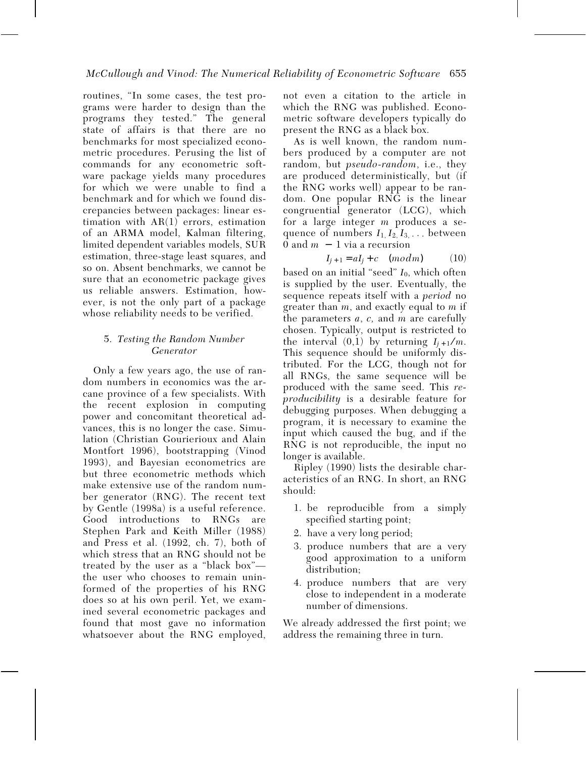routines, "In some cases, the test programs were harder to design than the programs they tested." The general state of affairs is that there are no benchmarks for most specialized econometric procedures. Perusing the list of commands for any econometric software package yields many procedures for which we were unable to find a benchmark and for which we found discrepancies between packages: linear estimation with AR(1) errors, estimation of an ARMA model, Kalman filtering, limited dependent variables models, SUR estimation, three-stage least squares, and so on. Absent benchmarks, we cannot be sure that an econometric package gives us reliable answers. Estimation, however, is not the only part of a package whose reliability needs to be verified.

## 5. *Testing the Random Number Generator*

Only a few years ago, the use of random numbers in economics was the arcane province of a few specialists. With the recent explosion in computing power and concomitant theoretical advances, this is no longer the case. Simulation (Christian Gourierioux and Alain Montfort 1996), bootstrapping (Vinod 1993), and Bayesian econometrics are but three econometric methods which make extensive use of the random number generator (RNG). The recent text by Gentle (1998a) is a useful reference. Good introductions to RNGs are Stephen Park and Keith Miller (1988) and Press et al. (1992, ch. 7), both of which stress that an RNG should not be treated by the user as a "black box" the user who chooses to remain uninformed of the properties of his RNG does so at his own peril. Yet, we examined several econometric packages and found that most gave no information whatsoever about the RNG employed, not even a citation to the article in which the RNG was published. Econometric software developers typically do present the RNG as a black box.

As is well known, the random numbers produced by a computer are not random, but *pseudo*-*random*, i.e., they are produced deterministically, but (if the RNG works well) appear to be random. One popular RNG is the linear congruential generator (LCG), which for a large integer *m* produces a sequence of numbers  $I_1, I_2, I_3, \ldots$  between 0 and *m* − 1 via a recursion

$$
I_{j+1} = aI_j + c \quad (mod\, m) \tag{10}
$$

based on an initial "seed" *I*0, which often is supplied by the user. Eventually, the sequence repeats itself with a *period* no greater than *m*, and exactly equal to *m* if the parameters *a*, *c,* and *m* are carefully chosen. Typically, output is restricted to the interval  $(0,1)$  by returning  $I_{i+1}/m$ . This sequence should be uniformly distributed. For the LCG, though not for all RNGs, the same sequence will be produced with the same seed. This *reproducibility* is a desirable feature for debugging purposes. When debugging a program, it is necessary to examine the input which caused the bug, and if the RNG is not reproducible, the input no longer is available.

Ripley (1990) lists the desirable characteristics of an RNG. In short, an RNG should:

- 1. be reproducible from a simply specified starting point;
- 2. have a very long period;
- 3. produce numbers that are a very good approximation to a uniform distribution;
- 4. produce numbers that are very close to independent in a moderate number of dimensions.

We already addressed the first point; we address the remaining three in turn.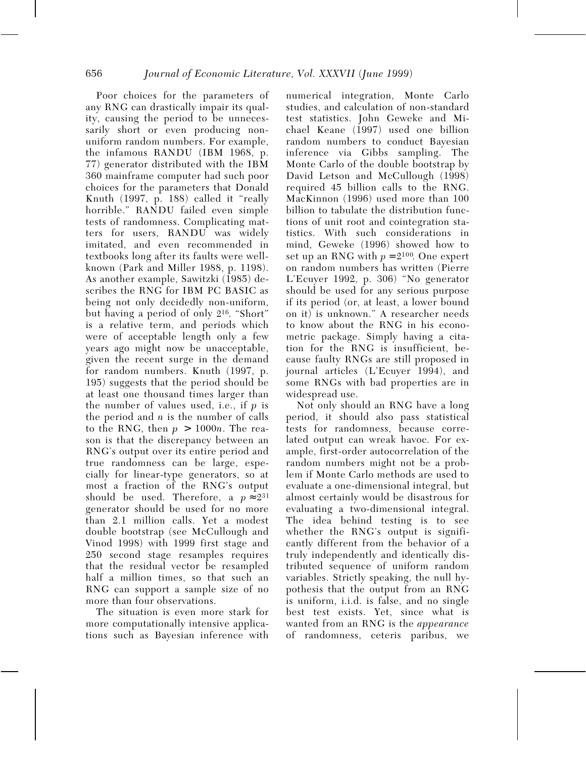Poor choices for the parameters of any RNG can drastically impair its quality, causing the period to be unnecessarily short or even producing nonuniform random numbers. For example, the infamous RANDU (IBM 1968, p. 77) generator distributed with the IBM 360 mainframe computer had such poor choices for the parameters that Donald Knuth (1997, p. 188) called it "really horrible." RANDU failed even simple tests of randomness. Complicating matters for users, RANDU was widely imitated, and even recommended in textbooks long after its faults were wellknown (Park and Miller 1988, p. 1198). As another example, Sawitzki (1985) describes the RNG for IBM PC BASIC as being not only decidedly non-uniform, but having a period of only 216. "Short" is a relative term, and periods which were of acceptable length only a few years ago might now be unacceptable, given the recent surge in the demand for random numbers. Knuth (1997, p. 195) suggests that the period should be at least one thousand times larger than the number of values used, i.e., if *p* is the period and *n* is the number of calls to the RNG, then  $p > 1000n$ . The reason is that the discrepancy between an RNG's output over its entire period and true randomness can be large, especially for linear-type generators, so at most a fraction of the RNG's output should be used. Therefore, a  $p \approx 2^{31}$ generator should be used for no more than 2.1 million calls. Yet a modest double bootstrap (see McCullough and Vinod 1998) with 1999 first stage and 250 second stage resamples requires that the residual vector be resampled half a million times, so that such an RNG can support a sample size of no more than four observations.

The situation is even more stark for more computationally intensive applications such as Bayesian inference with

numerical integration, Monte Carlo studies, and calculation of non-standard test statistics. John Geweke and Michael Keane (1997) used one billion random numbers to conduct Bayesian inference via Gibbs sampling. The Monte Carlo of the double bootstrap by David Letson and McCullough (1998) required 45 billion calls to the RNG. MacKinnon (1996) used more than 100 billion to tabulate the distribution functions of unit root and cointegration statistics. With such considerations in mind, Geweke (1996) showed how to set up an RNG with  $p = 2^{100}$ . One expert on random numbers has written (Pierre L'Ecuyer 1992, p. 306) "No generator should be used for any serious purpose if its period (or, at least, a lower bound on it) is unknown." A researcher needs to know about the RNG in his econometric package. Simply having a citation for the RNG is insufficient, because faulty RNGs are still proposed in journal articles (L'Ecuyer 1994), and some RNGs with bad properties are in widespread use.

Not only should an RNG have a long period, it should also pass statistical tests for randomness, because correlated output can wreak havoc. For example, first-order autocorrelation of the random numbers might not be a problem if Monte Carlo methods are used to evaluate a one-dimensional integral, but almost certainly would be disastrous for evaluating a two-dimensional integral. The idea behind testing is to see whether the RNG's output is significantly different from the behavior of a truly independently and identically distributed sequence of uniform random variables. Strictly speaking, the null hypothesis that the output from an RNG is uniform, i.i.d. is false, and no single best test exists. Yet, since what is wanted from an RNG is the *appearance* of randomness, ceteris paribus, we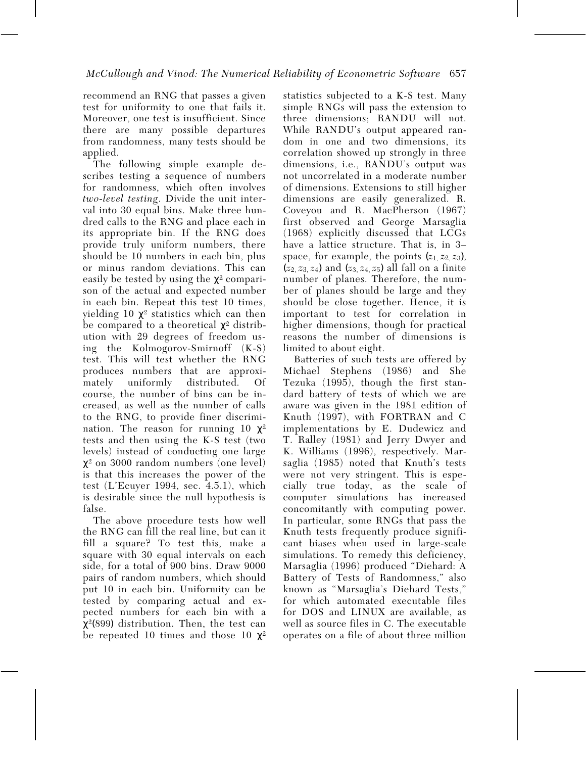recommend an RNG that passes a given test for uniformity to one that fails it. Moreover, one test is insufficient. Since there are many possible departures from randomness, many tests should be applied.

The following simple example describes testing a sequence of numbers for randomness, which often involves *two-level testing*. Divide the unit interval into 30 equal bins. Make three hundred calls to the RNG and place each in its appropriate bin. If the RNG does provide truly uniform numbers, there should be 10 numbers in each bin, plus or minus random deviations. This can easily be tested by using the  $\chi^2$  comparison of the actual and expected number in each bin. Repeat this test 10 times, yielding 10  $χ$ <sup>2</sup> statistics which can then be compared to a theoretical  $\chi^2$  distribution with 29 degrees of freedom using the Kolmogorov-Smirnoff (K-S) test. This will test whether the RNG produces numbers that are approximately uniformly distributed. Of course, the number of bins can be increased, as well as the number of calls to the RNG, to provide finer discrimination. The reason for running 10  $\chi^2$ tests and then using the K-S test (two levels) instead of conducting one large  $\chi^2$  on 3000 random numbers (one level) is that this increases the power of the test (L'Ecuyer 1994, sec. 4.5.1), which is desirable since the null hypothesis is false.

The above procedure tests how well the RNG can fill the real line, but can it fill a square? To test this, make a square with 30 equal intervals on each side, for a total of 900 bins. Draw 9000 pairs of random numbers, which should put 10 in each bin. Uniformity can be tested by comparing actual and expected numbers for each bin with a  $\chi^2(899)$  distribution. Then, the test can be repeated 10 times and those 10  $\chi^2$  statistics subjected to a K-S test. Many simple RNGs will pass the extension to three dimensions; RANDU will not. While RANDU's output appeared random in one and two dimensions, its correlation showed up strongly in three dimensions, i.e., RANDU's output was not uncorrelated in a moderate number of dimensions. Extensions to still higher dimensions are easily generalized. R. Coveyou and R. MacPherson (1967) first observed and George Marsaglia (1968) explicitly discussed that LCGs have a lattice structure. That is, in 3– space, for example, the points  $(z_1, z_2, z_3)$ , (*z*2, *z*3, *z*4) and (*z*3, *z*4, *z*5) all fall on a finite number of planes. Therefore, the number of planes should be large and they should be close together. Hence, it is important to test for correlation in higher dimensions, though for practical reasons the number of dimensions is limited to about eight.

Batteries of such tests are offered by Michael Stephens (1986) and She Tezuka (1995), though the first standard battery of tests of which we are aware was given in the 1981 edition of Knuth (1997), with FORTRAN and C implementations by E. Dudewicz and T. Ralley (1981) and Jerry Dwyer and K. Williams (1996), respectively. Marsaglia (1985) noted that Knuth's tests were not very stringent. This is especially true today, as the scale of computer simulations has increased concomitantly with computing power. In particular, some RNGs that pass the Knuth tests frequently produce significant biases when used in large-scale simulations. To remedy this deficiency, Marsaglia (1996) produced "Diehard: A Battery of Tests of Randomness," also known as "Marsaglia's Diehard Tests," for which automated executable files for DOS and LINUX are available, as well as source files in C. The executable operates on a file of about three million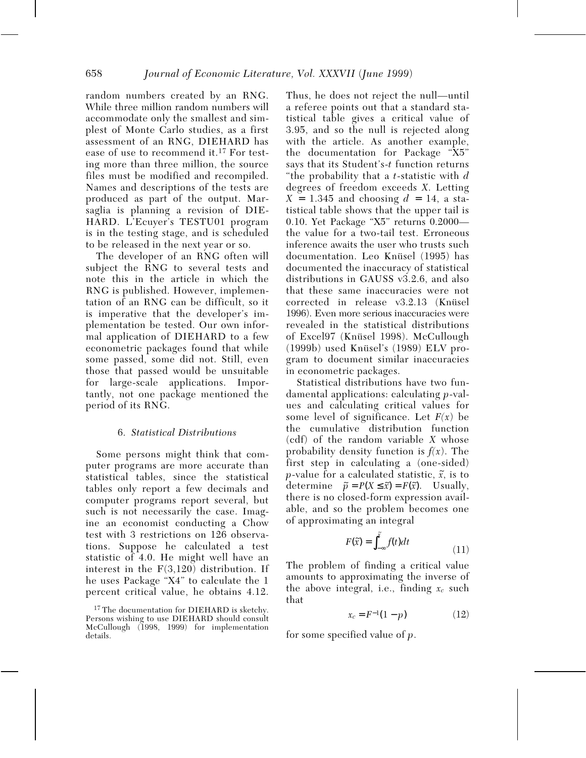random numbers created by an RNG. While three million random numbers will accommodate only the smallest and simplest of Monte Carlo studies, as a first assessment of an RNG, DIEHARD has ease of use to recommend it.17 For testing more than three million, the source files must be modified and recompiled. Names and descriptions of the tests are produced as part of the output. Marsaglia is planning a revision of DIE-HARD. L'Ecuyer's TESTU01 program is in the testing stage, and is scheduled to be released in the next year or so.

The developer of an RNG often will subject the RNG to several tests and note this in the article in which the RNG is published. However, implementation of an RNG can be difficult, so it is imperative that the developer's implementation be tested. Our own informal application of DIEHARD to a few econometric packages found that while some passed, some did not. Still, even those that passed would be unsuitable for large-scale applications. Importantly, not one package mentioned the period of its RNG.

#### 6. *Statistical Distributions*

Some persons might think that computer programs are more accurate than statistical tables, since the statistical tables only report a few decimals and computer programs report several, but such is not necessarily the case. Imagine an economist conducting a Chow test with 3 restrictions on 126 observations. Suppose he calculated a test statistic of 4.0. He might well have an interest in the  $F(3,120)$  distribution. If he uses Package "X4" to calculate the 1 percent critical value, he obtains 4.12.

Thus, he does not reject the null—until a referee points out that a standard statistical table gives a critical value of 3.95, and so the null is rejected along with the article. As another example, the documentation for Package "X5" says that its Student's-*t* function returns "the probability that a *t*-statistic with *d* degrees of freedom exceeds *X*. Letting  $X = 1.345$  and choosing  $d = 14$ , a statistical table shows that the upper tail is 0.10. Yet Package "X5" returns 0.2000 the value for a two-tail test. Erroneous inference awaits the user who trusts such documentation. Leo Knüsel (1995) has documented the inaccuracy of statistical distributions in GAUSS v3.2.6, and also that these same inaccuracies were not corrected in release v3.2.13 (Knüsel 1996). Even more serious inaccuracies were revealed in the statistical distributions of Excel97 (Knüsel 1998). McCullough (1999b) used Knüsel's (1989) ELV program to document similar inaccuracies in econometric packages.

Statistical distributions have two fundamental applications: calculating *p*-values and calculating critical values for some level of significance. Let *F(x*) be the cumulative distribution function (cdf) of the random variable *X* whose probability density function is *f(x*). The first step in calculating a (one-sided) *p*-value for a calculated statistic,  $\tilde{x}$ , is to determine  $\tilde{p} = P(X \le \tilde{x}) = F(\tilde{x})$ . Usually, there is no closed-form expression available, and so the problem becomes one of approximating an integral

$$
F(\tilde{x}) = \int_{-\infty}^{\tilde{x}} f(t)dt
$$
\n(11)

The problem of finding a critical value amounts to approximating the inverse of the above integral, i.e., finding  $x_c$  such that

$$
x_c = F^{-1}(1 - p) \tag{12}
$$

for some specified value of *p*.

<sup>17</sup> The documentation for DIEHARD is sketchy. Persons wishing to use DIEHARD should consult McCullough (1998, 1999) for implementation details.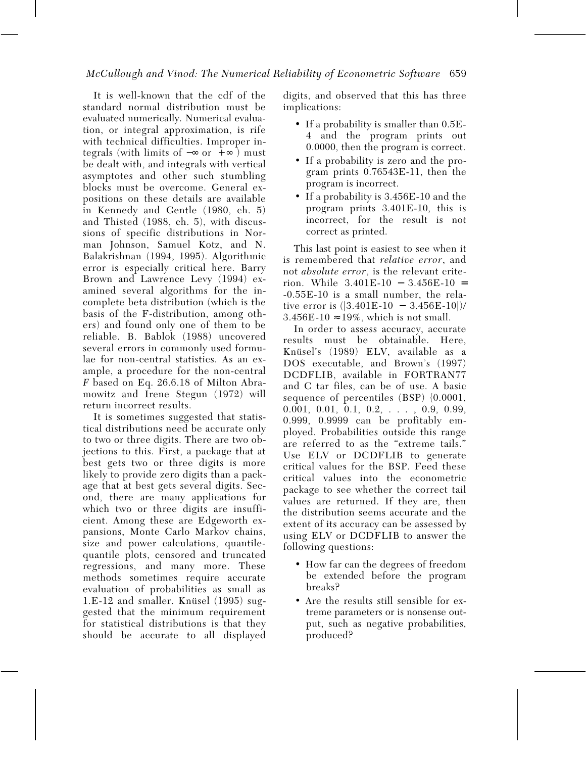It is well-known that the cdf of the standard normal distribution must be evaluated numerically. Numerical evaluation, or integral approximation, is rife with technical difficulties. Improper integrals (with limits of  $-\infty$  or  $+\infty$ ) must be dealt with, and integrals with vertical asymptotes and other such stumbling blocks must be overcome. General expositions on these details are available in Kennedy and Gentle (1980, ch. 5) and Thisted (1988, ch. 5), with discussions of specific distributions in Norman Johnson, Samuel Kotz, and N. Balakrishnan (1994, 1995). Algorithmic error is especially critical here. Barry Brown and Lawrence Levy (1994) examined several algorithms for the incomplete beta distribution (which is the basis of the F-distribution, among others) and found only one of them to be reliable. B. Bablok (1988) uncovered several errors in commonly used formulae for non-central statistics. As an example, a procedure for the non-central *F* based on Eq. 26.6.18 of Milton Abramowitz and Irene Stegun (1972) will return incorrect results.

It is sometimes suggested that statistical distributions need be accurate only to two or three digits. There are two objections to this. First, a package that at best gets two or three digits is more likely to provide zero digits than a package that at best gets several digits. Second, there are many applications for which two or three digits are insufficient. Among these are Edgeworth expansions, Monte Carlo Markov chains, size and power calculations, quantilequantile plots, censored and truncated regressions, and many more. These methods sometimes require accurate evaluation of probabilities as small as 1.E-12 and smaller. Knüsel (1995) suggested that the minimum requirement for statistical distributions is that they should be accurate to all displayed digits, and observed that this has three implications:

- If a probability is smaller than 0.5E-4 and the program prints out 0.0000, then the program is correct.
- If a probability is zero and the program prints 0.76543E-11, then the program is incorrect.
- If a probability is 3.456E-10 and the program prints 3.401E-10, this is incorrect, for the result is not correct as printed.

This last point is easiest to see when it is remembered that *relative error*, and not *absolute error*, is the relevant criterion. While  $3.401E-10 - 3.456E-10 =$ -0.55E-10 is a small number, the relative error is  $(|3.401E-10 - 3.456E-10|)$ /  $3.456E-10 \approx 19\%$ , which is not small.

In order to assess accuracy, accurate results must be obtainable. Here, Knüsel's (1989) ELV, available as a DOS executable, and Brown's (1997) DCDFLIB, available in FORTRAN77 and C tar files, can be of use. A basic sequence of percentiles (BSP) {0.0001, 0.001, 0.01, 0.1, 0.2, . . . , 0.9, 0.99, 0.999, 0.9999 can be profitably employed. Probabilities outside this range are referred to as the "extreme tails." Use ELV or DCDFLIB to generate critical values for the BSP. Feed these critical values into the econometric package to see whether the correct tail values are returned. If they are, then the distribution seems accurate and the extent of its accuracy can be assessed by using ELV or DCDFLIB to answer the following questions:

- How far can the degrees of freedom be extended before the program breaks?
- Are the results still sensible for extreme parameters or is nonsense output, such as negative probabilities, produced?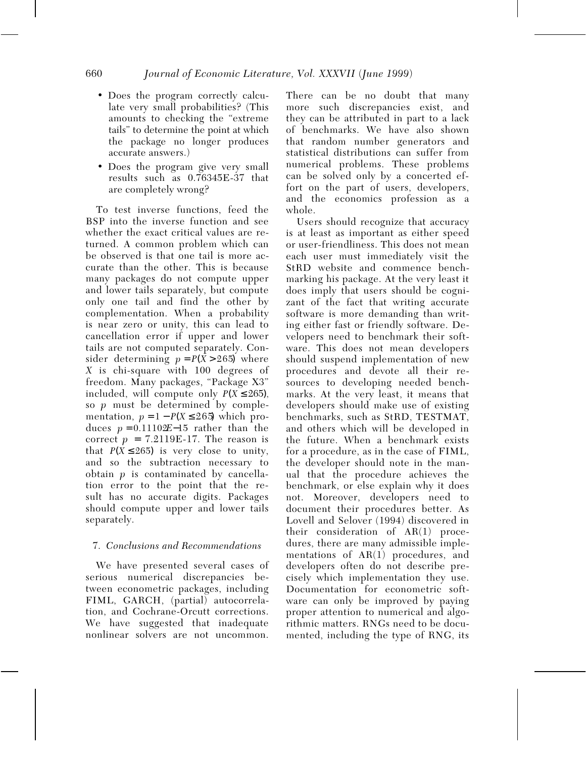- Does the program correctly calculate very small probabilities? (This amounts to checking the "extreme tails" to determine the point at which the package no longer produces accurate answers.)
- Does the program give very small results such as 0.76345E-37 that are completely wrong?

To test inverse functions, feed the BSP into the inverse function and see whether the exact critical values are returned. A common problem which can be observed is that one tail is more accurate than the other. This is because many packages do not compute upper and lower tails separately, but compute only one tail and find the other by complementation. When a probability is near zero or unity, this can lead to cancellation error if upper and lower tails are not computed separately. Consider determining  $p = P(X > 265)$  where *X* is chi-square with 100 degrees of freedom. Many packages, "Package X3" included, will compute only  $P(X \le 265)$ , so *p* must be determined by complementation,  $p = 1 - P(X \le 265)$  which produces  $p = 0.11102E-15$  rather than the correct  $p = 7.2119E-17$ . The reason is that  $P(X \le 265)$  is very close to unity, and so the subtraction necessary to obtain *p* is contaminated by cancellation error to the point that the result has no accurate digits. Packages should compute upper and lower tails separately.

#### 7. *Conclusions and Recommendations*

We have presented several cases of serious numerical discrepancies between econometric packages, including FIML, GARCH, (partial) autocorrelation, and Cochrane-Orcutt corrections. We have suggested that inadequate nonlinear solvers are not uncommon.

There can be no doubt that many more such discrepancies exist, and they can be attributed in part to a lack of benchmarks. We have also shown that random number generators and statistical distributions can suffer from numerical problems. These problems can be solved only by a concerted effort on the part of users, developers, and the economics profession as a whole.

Users should recognize that accuracy is at least as important as either speed or user-friendliness. This does not mean each user must immediately visit the StRD website and commence benchmarking his package. At the very least it does imply that users should be cognizant of the fact that writing accurate software is more demanding than writing either fast or friendly software. Developers need to benchmark their software. This does not mean developers should suspend implementation of new procedures and devote all their resources to developing needed benchmarks. At the very least, it means that developers should make use of existing benchmarks, such as StRD, TESTMAT, and others which will be developed in the future. When a benchmark exists for a procedure, as in the case of FIML, the developer should note in the manual that the procedure achieves the benchmark, or else explain why it does not. Moreover, developers need to document their procedures better. As Lovell and Selover (1994) discovered in their consideration of AR(1) procedures, there are many admissible implementations of AR(1) procedures, and developers often do not describe precisely which implementation they use. Documentation for econometric software can only be improved by paying proper attention to numerical and algorithmic matters. RNGs need to be documented, including the type of RNG, its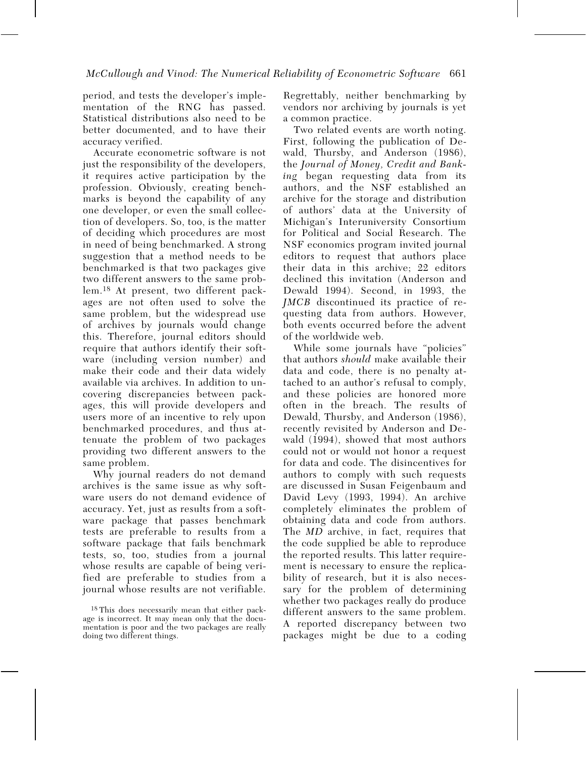period, and tests the developer's implementation of the RNG has passed. Statistical distributions also need to be better documented, and to have their accuracy verified.

Accurate econometric software is not just the responsibility of the developers, it requires active participation by the profession. Obviously, creating benchmarks is beyond the capability of any one developer, or even the small collection of developers. So, too, is the matter of deciding which procedures are most in need of being benchmarked. A strong suggestion that a method needs to be benchmarked is that two packages give two different answers to the same problem.18 At present, two different packages are not often used to solve the same problem, but the widespread use of archives by journals would change this. Therefore, journal editors should require that authors identify their software (including version number) and make their code and their data widely available via archives. In addition to uncovering discrepancies between packages, this will provide developers and users more of an incentive to rely upon benchmarked procedures, and thus attenuate the problem of two packages providing two different answers to the same problem.

Why journal readers do not demand archives is the same issue as why software users do not demand evidence of accuracy. Yet, just as results from a software package that passes benchmark tests are preferable to results from a software package that fails benchmark tests, so, too, studies from a journal whose results are capable of being verified are preferable to studies from a journal whose results are not verifiable. Regrettably, neither benchmarking by vendors nor archiving by journals is yet a common practice.

Two related events are worth noting. First, following the publication of Dewald, Thursby, and Anderson (1986), the *Journal of Money, Credit and Banking* began requesting data from its authors, and the NSF established an archive for the storage and distribution of authors' data at the University of Michigan's Interuniversity Consortium for Political and Social Research. The NSF economics program invited journal editors to request that authors place their data in this archive; 22 editors declined this invitation (Anderson and Dewald 1994). Second, in 1993, the *JMCB* discontinued its practice of requesting data from authors. However, both events occurred before the advent of the worldwide web.

While some journals have "policies" that authors *should* make available their data and code, there is no penalty attached to an author's refusal to comply, and these policies are honored more often in the breach. The results of Dewald, Thursby, and Anderson (1986), recently revisited by Anderson and Dewald (1994), showed that most authors could not or would not honor a request for data and code. The disincentives for authors to comply with such requests are discussed in Susan Feigenbaum and David Levy (1993, 1994). An archive completely eliminates the problem of obtaining data and code from authors. The *MD* archive, in fact, requires that the code supplied be able to reproduce the reported results. This latter requirement is necessary to ensure the replicability of research, but it is also necessary for the problem of determining whether two packages really do produce different answers to the same problem. A reported discrepancy between two packages might be due to a coding

<sup>18</sup> This does necessarily mean that either package is incorrect. It may mean only that the documentation is poor and the two packages are really doing two different things.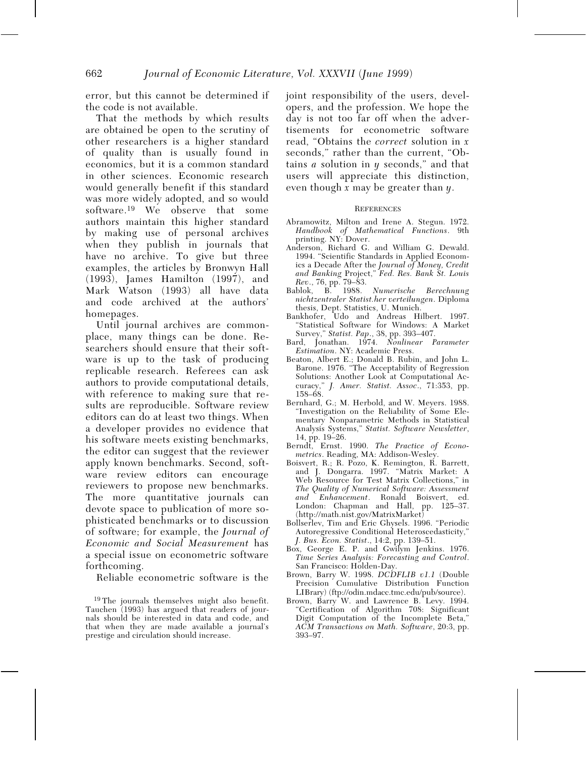error, but this cannot be determined if the code is not available.

That the methods by which results are obtained be open to the scrutiny of other researchers is a higher standard of quality than is usually found in economics, but it is a common standard in other sciences. Economic research would generally benefit if this standard was more widely adopted, and so would software.19 We observe that some authors maintain this higher standard by making use of personal archives when they publish in journals that have no archive. To give but three examples, the articles by Bronwyn Hall (1993), James Hamilton (1997), and Mark Watson (1993) all have data and code archived at the authors' homepages.

Until journal archives are commonplace, many things can be done. Researchers should ensure that their software is up to the task of producing replicable research. Referees can ask authors to provide computational details, with reference to making sure that results are reproducible. Software review editors can do at least two things. When a developer provides no evidence that his software meets existing benchmarks, the editor can suggest that the reviewer apply known benchmarks. Second, software review editors can encourage reviewers to propose new benchmarks. The more quantitative journals can devote space to publication of more sophisticated benchmarks or to discussion of software; for example, the *Journal of Economic and Social Measurement* has a special issue on econometric software forthcoming.

Reliable econometric software is the

joint responsibility of the users, developers, and the profession. We hope the day is not too far off when the advertisements for econometric software read, "Obtains the *correct* solution in *x* seconds," rather than the current, "Obtains *a* solution in *y* seconds," and that users will appreciate this distinction, even though *x* may be greater than *y*.

#### **REFERENCES**

- Abramowitz, Milton and Irene A. Stegun. 1972. *Handbook of Mathematical Functions*. 9th printing. NY: Dover.
- Anderson, Richard G. and William G. Dewald. 1994. "Scientific Standards in Applied Economics a Decade After the *Journal of Money, Credit and Banking* Project," *Fed. Res. Bank St. Louis Rev.*, 76, pp. 79–83.<br>Bablok, B. 1988.
- Bablok, B. 1988. *Numerische Berechnung nichtzentraler Statist.her verteilungen*. Diploma thesis, Dept. Statistics, U. Munich.
- Bankhofer, Udo and Andreas Hilbert. 1997. "Statistical Software for Windows: A Market Survey," *Statist. Pap*., 38, pp. 393–407.
- Bard, Jonathan. 1974. *Nonlinear Parameter Estimation*. NY: Academic Press.
- Beaton, Albert E.; Donald B. Rubin, and John L. Barone. 1976. "The Acceptability of Regression Solutions: Another Look at Computational Accuracy," *J. Amer. Statist. Assoc*., 71:353, pp. 158–68.
- Bernhard, G.; M. Herbold, and W. Meyers. 1988. "Investigation on the Reliability of Some Elementary Nonparametric Methods in Statistical Analysis Systems," *Statist. Software Newsletter*, 14, pp. 19–26.
- Berndt, Ernst. 1990. *The Practice of Econometrics*. Reading, MA: Addison-Wesley.
- Boisvert, R.; R. Pozo, K. Remington, R. Barrett, and J. Dongarra. 1997. "Matrix Market: A Web Resource for Test Matrix Collections," in *The Quality of Numerical Software: Assessment and Enhancement*. Ronald Boisvert, ed. London: Chapman and Hall, pp. 125–37. (http://math.nist.gov/MatrixMarket)
- Bollserlev, Tim and Eric Ghysels. 1996. "Periodic Autoregressive Conditional Heteroscedasticity," *J. Bus. Econ. Statist*., 14:2, pp. 139–51.
- Box, George E. P. and Gwilym Jenkins. 1976. *Time Series Analysis: Forecasting and Control*. San Francisco: Holden-Day.
- Brown, Barry W. 1998. *DCDFLIB v1.1* (Double Precision Cumulative Distribution Function LIBrary) (ftp://odin.mdacc.tmc.edu/pub/source).
- Brown, Barry W. and Lawrence B. Levy. 1994. "Certification of Algorithm 708: Significant Digit Computation of the Incomplete Beta," *ACM Transactions on Math. Software*, 20:3, pp. 393–97.

<sup>19</sup> The journals themselves might also benefit. Tauchen (1993) has argued that readers of journals should be interested in data and code, and that when they are made available a journal's prestige and circulation should increase.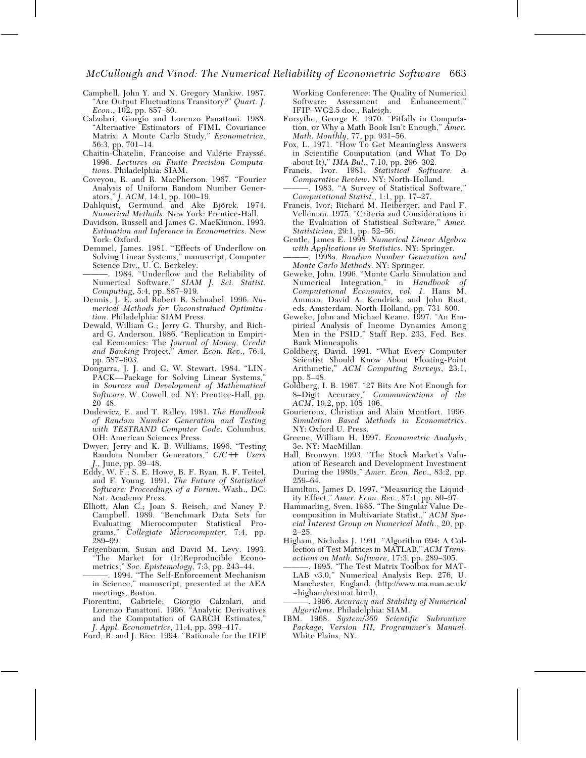- Campbell, John Y. and N. Gregory Mankiw. 1987. "Are Output Fluctuations Transitory?" *Quart. J. Econ*., 102, pp. 857–80.
- Calzolari, Giorgio and Lorenzo Panattoni. 1988. "Alternative Estimators of FIML Covariance Matrix: A Monte Carlo Study," *Econometrica*, 56:3, pp. 701–14.
- Chaitin-Chatelin, Francoise and Valérie Frayssé. 1996. *Lectures on Finite Precision Computations*. Philadelphia: SIAM.
- Coveyou, R. and R. MacPherson. 1967. "Fourier Analysis of Uniform Random Number Generators," *J. ACM*, 14:1, pp. 100–19.
- Dahlquist, Germund and Ake Björck. 1974. *Numerical Methods*. New York: Prentice-Hall.
- Davidson, Russell and James G. MacKinnon. 1993. *Estimation and Inference in Econometrics*. New York: Oxford.
- Demmel, James. 1981. "Effects of Underflow on Solving Linear Systems," manuscript, Computer Science Div., U. C. Berkeley.
- ———. 1984. "Underflow and the Reliability of Numerical Software," *SIAM J. Sci. Statist. Computing*, 5:4, pp. 887–919.
- Dennis, J. E. and Robert B. Schnabel. 1996. *Numerical Methods for Unconstrained Optimization*. Philadelphia: SIAM Press.
- Dewald, William G.; Jerry G. Thursby, and Richard G. Anderson. 1986. "Replication in Empirical Economics: The *Journal of Money, Credit and Banking* Project," *Amer. Econ. Rev*., 76:4, pp. 587–603.
- Dongarra, J. J. and G. W. Stewart. 1984. "LIN-PACK-–Package for Solving Linear Systems,' in *Sources and Development of Mathematical Software*. W. Cowell, ed. NY: Prentice-Hall, pp. 20–48.
- Dudewicz, E. and T. Ralley. 1981. *The Handbook of Random Number Generation and Testing with TESTRAND Computer Code*. Columbus, OH: American Sciences Press.
- Dwyer, Jerry and K. B. Williams. 1996. "Testing Random Number Generators," *C/C*++ *Users J.,* June, pp. 39–48.
- Eddy, W. F.; S. E. Howe, B. F. Ryan, R. F. Teitel, and F. Young. 1991. *The Future of Statistical Software: Proceedings of a Forum*. Wash., DC: Nat. Academy Press.
- Elliott, Alan C.; Joan S. Reisch, and Nancy P. Campbell. 1989. "Benchmark Data Sets for Evaluating Microcomputer Statistical Programs," *Collegiate Microcomputer*, 7:4, pp. 289–99.
- Feigenbaum, Susan and David M. Levy. 1993. "The Market for (Ir)Reproducible Econometrics," *Soc. Epistemology*, 7:3, pp. 243–44.
- ———. 1994. "The Self-Enforcement Mechanism in Science," manuscript, presented at the AEA meetings, Boston.
- Fiorentini, Gabriele; Giorgio Calzolari, and Lorenzo Panattoni. 1996. "Analytic Derivatives and the Computation of GARCH Estimates," *J. Appl. Econometrics*, 11:4, pp. 399–417.
- Ford, B. and J. Rice. 1994. "Rationale for the IFIP

Working Conference: The Quality of Numerical Software: Assessment and Enhancement," IFIP–WG2.5 doc., Raleigh.

- Forsythe, George E. 1970. "Pitfalls in Computation, or Why a Math Book Isn't Enough," *Amer. Math. Monthly*, 77, pp. 931–56.
- Fox, L. 1971. "How To Get Meaningless Answers in Scientific Computation (and What To Do about It)," *IMA Bul*., 7:10, pp. 296–302.
- Francis, Ivor. 1981. *Statistical Software: A Comparative Review*. NY: North-Holland.
- ———. 1983. "A Survey of Statistical Software," *Computational Statist*., 1:1, pp. 17–27.
- Francis, Ivor; Richard M. Heiberger, and Paul F. Velleman. 1975. "Criteria and Considerations in the Evaluation of Statistical Software," *Amer. Statistician*, 29:1, pp. 52–56.
- Gentle, James E. 1998. *Numerical Linear Algebra with Applications in Statistics*. NY: Springer.
- ———. 1998a. *Random Number Generation and Monte Carlo Methods*. NY: Springer.
- Geweke, John. 1996. "Monte Carlo Simulation and Numerical Integration," in *Handbook of Computational Economics, vol. 1*. Hans M. Amman, David A. Kendrick, and John Rust, eds. Amsterdam: North-Holland, pp. 731–800.
- Geweke, John and Michael Keane. 1997. "An Empirical Analysis of Income Dynamics Among Men in the PSID," Staff Rep. 233, Fed. Res. Bank Minneapolis.
- Goldberg, David. 1991. "What Every Computer Scientist Should Know About Floating-Point Arithmetic," *ACM Computing Surveys*, 23:1, pp. 5–48.
- Goldberg, I. B. 1967. "27 Bits Are Not Enough for 8–Digit Accuracy," *Communications of the ACM*, 10:2, pp. 105–106.
- Gourieroux, Christian and Alain Montfort. 1996. *Simulation Based Methods in Econometrics*. NY: Oxford U. Press.
- Greene, William H. 1997. *Econometric Analysis*, 3e. NY: MacMillan.
- Hall, Bronwyn. 1993. "The Stock Market's Valuation of Research and Development Investment During the 1980s," *Amer. Econ. Rev*., 83:2, pp. 259–64.
- Hamilton, James D. 1997. "Measuring the Liquidity Effect," *Amer. Econ. Rev*., 87:1, pp. 80–97.
- Hammarling, Sven. 1985. "The Singular Value Decomposition in Multivariate Statist.," *ACM Special Interest Group on Numerical Math*., 20, pp.  $2 - 25.$
- Higham, Nicholas J. 1991. "Algorithm 694: A Collection of Test Matrices in MATLAB," *ACM Transactions on Math. Software*, 17:3, pp. 289–305.
- ———. 1995. "The Test Matrix Toolbox for MAT-LAB v3.0," Numerical Analysis Rep. 276, U. Manchester, England. (http://www.ma.man.ac.uk/ ~higham/testmat.html).
- ———. 1996. *Accuracy and Stability of Numerical Algorithms*. Philadelphia: SIAM.
- IBM. 1968. *System/360 Scientific Subroutine Package, Version III, Programmer's Manual*. White Plains, NY.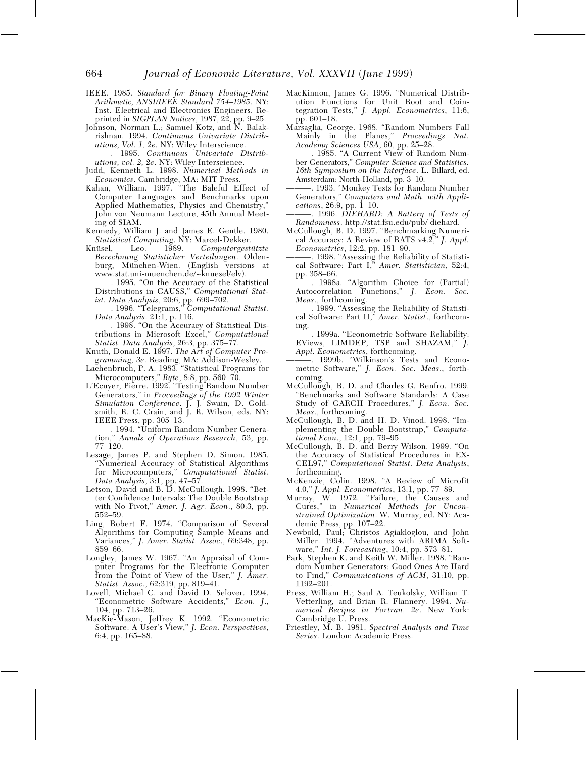- IEEE. 1985. *Standard for Binary Floating-Point Arithmetic, ANSI/IEEE Standard 754–1985*. NY: Inst. Electrical and Electronics Engineers. Reprinted in *SIGPLAN Notices*, 1987, 22, pp. 9–25.
- Johnson, Norman L.; Samuel Kotz, and N. Balakrishnan. 1994. *Continuous Univariate Distributions, Vol. 1, 2e*. NY: Wiley Interscience.

———. 1995. *Continuous Univariate Distributions, vol. 2, 2e*. NY: Wiley Interscience.

- Judd, Kenneth L. 1998. *Numerical Methods in Economics*. Cambridge, MA: MIT Press.
- Kahan, William. 1997. "The Baleful Effect of Computer Languages and Benchmarks upon Applied Mathematics, Physics and Chemistry," John von Neumann Lecture, 45th Annual Meeting of SIAM.
- Kennedy, William J. and James E. Gentle. 1980. *Statistical Computing*. NY: Marcel-Dekker.
- Knüsel, Leo. 1989. *Computergestützte Berechnung Statisticher Verteilungen*. Oldenburg, München-Wien. (English versions at www.stat.uni-muenchen.de/~knuesel/elv).

———. 1995. "On the Accuracy of the Statistical Distributions in GAUSS," *Computational Statist. Data Analysis*, 20:6, pp. 699–702.

- ———. 1996. "Telegrams," *Computational Statist. Data Analysis*. 21:1, p. 116.
- ———. 1998. "On the Accuracy of Statistical Distributions in Microsoft Excel," *Computational Statist. Data Analysis*, 26:3, pp. 375–77.
- Knuth, Donald E. 1997. *The Art of Computer Programming, 3e*. Reading, MA: Addison-Wesley.

Lachenbruch, P. A. 1983. "Statistical Programs for Microcomputers," *Byte*, 8:8, pp. 560–70.

L'Ecuyer, Pierre. 1992. "Testing Random Number Generators," in *Proceedings of the 1992 Winter Simulation Conference*. J. J. Swain, D. Goldsmith, R. C. Crain, and J. R. Wilson, eds. NY: IEEE Press, pp. 305–13.

———. 1994. "Uniform Random Number Generation," *Annals of Operations Research*, 53, pp. 77–120.

- Lesage, James P. and Stephen D. Simon. 1985. "Numerical Accuracy of Statistical Algorithms for Microcomputers," *Computational Statist. Data Analysis*, 3:1, pp. 47–57.
- Letson, David and B. D. McCullough. 1998. "Better Confidence Intervals: The Double Bootstrap with No Pivot," *Amer. J. Agr. Econ*., 80:3, pp. 552–59.
- Ling, Robert F. 1974. "Comparison of Several Algorithms for Computing Sample Means and Variances," *J. Amer. Statist. Assoc*., 69:348, pp. 859–66.
- Longley, James W. 1967. "An Appraisal of Computer Programs for the Electronic Computer from the Point of View of the User," *J. Amer. Statist. Assoc*., 62:319, pp. 819–41.
- Lovell, Michael C. and David D. Selover. 1994. "Econometric Software Accidents," *Econ. J*., 104, pp. 713–26.
- MacKie-Mason, Jeffrey K. 1992. "Econometric Software: A User's View," *J. Econ. Perspectives*, 6:4, pp. 165–88.
- MacKinnon, James G. 1996. "Numerical Distribution Functions for Unit Root and Cointegration Tests," *J. Appl. Econometrics*, 11:6, pp. 601–18.
- Marsaglia, George. 1968. "Random Numbers Fall Mainly in the Planes," *Proceedings Nat. Academy Sciences USA*, 60, pp. 25–28.
- ———. 1985. "A Current View of Random Number Generators," *Computer Science and Statistics: 16th Symposium on the Interface*. L. Billard, ed. Amsterdam: North-Holland, pp. 3–10.
- ———. 1993. "Monkey Tests for Random Number Generators," *Computers and Math. with Applications*, 26:9, pp. 1–10.
- ———. 1996. *DIEHARD: A Battery of Tests of Randomness*. http://stat.fsu.edu/pub/ diehard.
- McCullough, B. D. 1997. "Benchmarking Numerical Accuracy: A Review of RATS v4.2," *J. Appl. Econometrics*, 12:2, pp. 181–90.
- ———. 1998. "Assessing the Reliability of Statistical Software: Part I," *Amer. Statistician*, 52:4, pp. 358–66.
- ———. 1998a. "Algorithm Choice for (Partial) Autocorrelation Functions," *J. Econ. Soc. Meas*., forthcoming.
- ———. 1999. "Assessing the Reliability of Statistical Software: Part II," *Amer. Statist*., forthcoming.

———. 1999a. "Econometric Software Reliability: EViews, LIMDEP, TSP and SHAZAM," *J. Appl. Econometrics*, forthcoming.

———. 1999b. "Wilkinson's Tests and Econometric Software," *J. Econ. Soc. Meas*., forthcoming.

- McCullough, B. D. and Charles G. Renfro. 1999. "Benchmarks and Software Standards: A Case Study of GARCH Procedures," *J. Econ. Soc. Meas*., forthcoming.
- McCullough, B. D. and H. D. Vinod. 1998. "Implementing the Double Bootstrap," *Computational Econ*., 12:1, pp. 79–95.
- McCullough, B. D. and Berry Wilson. 1999. "On the Accuracy of Statistical Procedures in EX-CEL97," *Computational Statist. Data Analysis*, forthcoming.
- McKenzie, Colin. 1998. "A Review of Microfit 4.0," *J. Appl. Econometrics*, 13:1, pp. 77–89.
- Murray, W. 1972. "Failure, the Causes and Cures," in *Numerical Methods for Unconstrained Optimization*. W. Murray, ed. NY: Academic Press, pp. 107–22.
- Newbold, Paul; Christos Agiakloglou, and John Miller. 1994. "Adventures with ARIMA Software," *Int. J. Forecasting*, 10:4, pp. 573–81.
- Park, Stephen K. and Keith W. Miller. 1988. "Random Number Generators: Good Ones Are Hard to Find," *Communications of ACM*, 31:10, pp. 1192–201.
- Press, William H.; Saul A. Teukolsky, William T. Vetterling, and Brian R. Flannery. 1994. *Numerical Recipes in Fortran, 2e*. New York: Cambridge U. Press.
- Priestley, M. B. 1981. *Spectral Analysis and Time Series*. London: Academic Press.